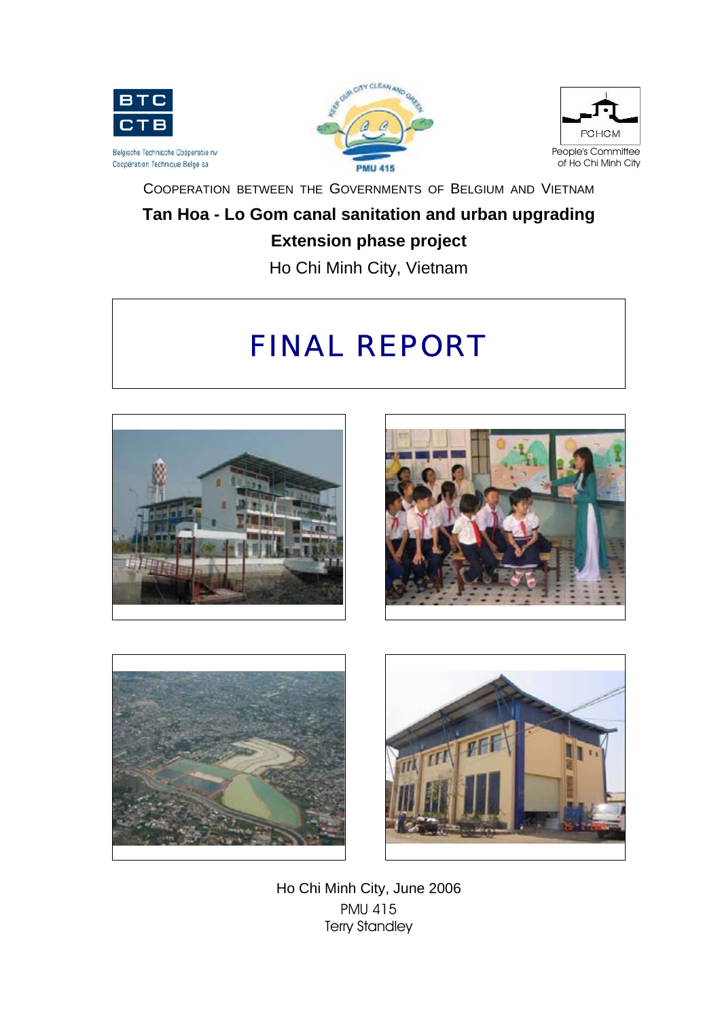





COOPERATION BETWEEN THE GOVERNMENTS OF BELGIUM AND VIETNAM

# **Tan Hoa - Lo Gom canal sanitation and urban upgrading**

# **Extension phase project**

Ho Chi Minh City, Vietnam

# FINAL REPORT









Ho Chi Minh City, June 2006 PMU 415 Terry Standley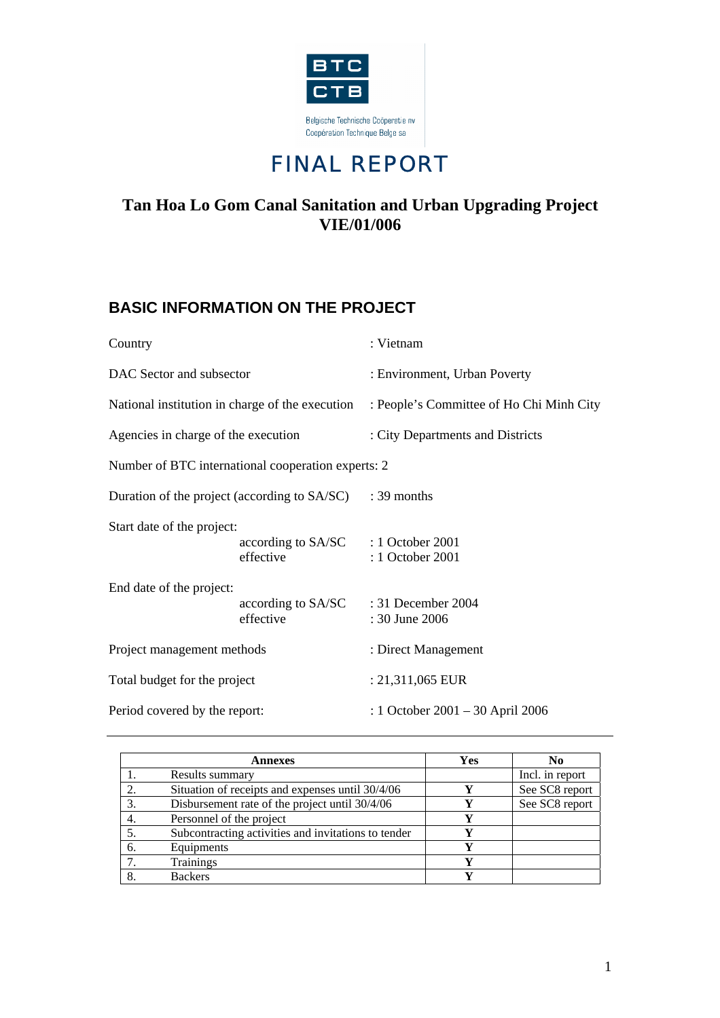



# **Tan Hoa Lo Gom Canal Sanitation and Urban Upgrading Project VIE/01/006**

# **BASIC INFORMATION ON THE PROJECT**

| Country                             |                                                    | : Vietnam                                |  |
|-------------------------------------|----------------------------------------------------|------------------------------------------|--|
| DAC Sector and subsector            |                                                    | : Environment, Urban Poverty             |  |
|                                     | National institution in charge of the execution    | : People's Committee of Ho Chi Minh City |  |
| Agencies in charge of the execution |                                                    | : City Departments and Districts         |  |
|                                     | Number of BTC international cooperation experts: 2 |                                          |  |
|                                     | Duration of the project (according to SA/SC)       | $: 39$ months                            |  |
| Start date of the project:          | according to SA/SC : 1 October 2001<br>effective   | : 1 October 2001                         |  |
| End date of the project:            | according to SA/SC : 31 December 2004<br>effective | : 30 June 2006                           |  |
| Project management methods          |                                                    | : Direct Management                      |  |
| Total budget for the project        |                                                    | : 21,311,065 EUR                         |  |
| Period covered by the report:       |                                                    | : 1 October 2001 – 30 April 2006         |  |

|    | Annexes                                             | Yes | N <sub>0</sub>  |
|----|-----------------------------------------------------|-----|-----------------|
|    | Results summary                                     |     | Incl. in report |
| 2. | Situation of receipts and expenses until 30/4/06    | v   | See SC8 report  |
| 3. | Disbursement rate of the project until 30/4/06      |     | See SC8 report  |
| 4. | Personnel of the project                            | V   |                 |
| 5. | Subcontracting activities and invitations to tender | V   |                 |
| 6. | Equipments                                          | Y   |                 |
| 7. | <b>Trainings</b>                                    | v   |                 |
| 8. | <b>Backers</b>                                      |     |                 |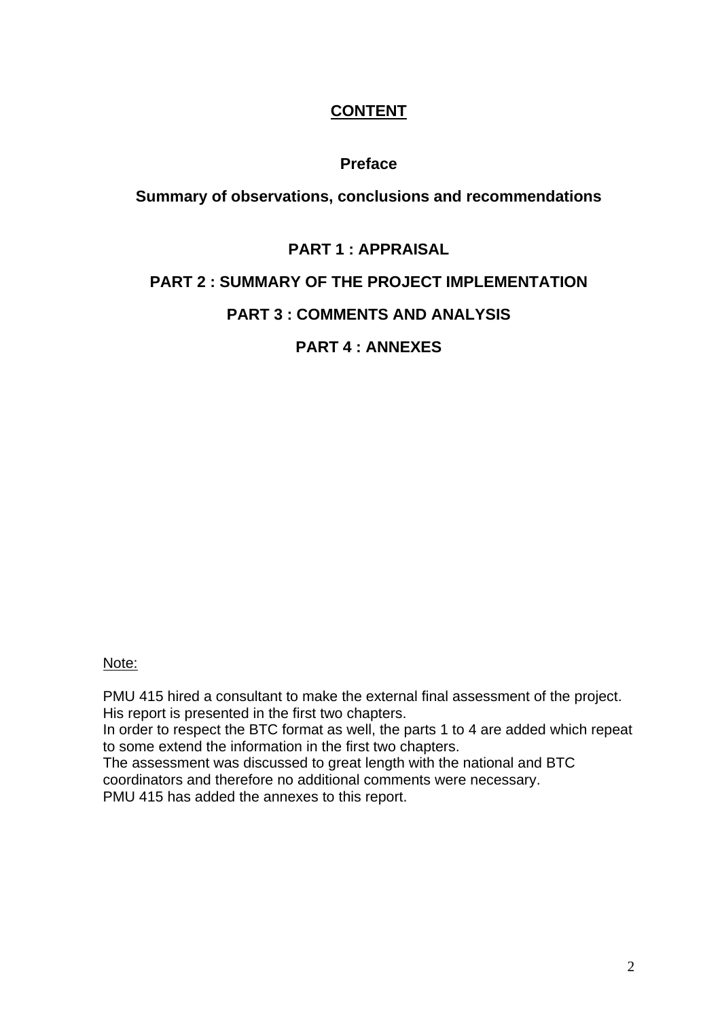# **CONTENT**

# **Preface**

# **Summary of observations, conclusions and recommendations**

# **PART 1 : APPRAISAL**

# **PART 2 : SUMMARY OF THE PROJECT IMPLEMENTATION**

# **PART 3 : COMMENTS AND ANALYSIS**

# **PART 4 : ANNEXES**

### Note:

PMU 415 hired a consultant to make the external final assessment of the project. His report is presented in the first two chapters.

In order to respect the BTC format as well, the parts 1 to 4 are added which repeat to some extend the information in the first two chapters.

The assessment was discussed to great length with the national and BTC coordinators and therefore no additional comments were necessary.

PMU 415 has added the annexes to this report.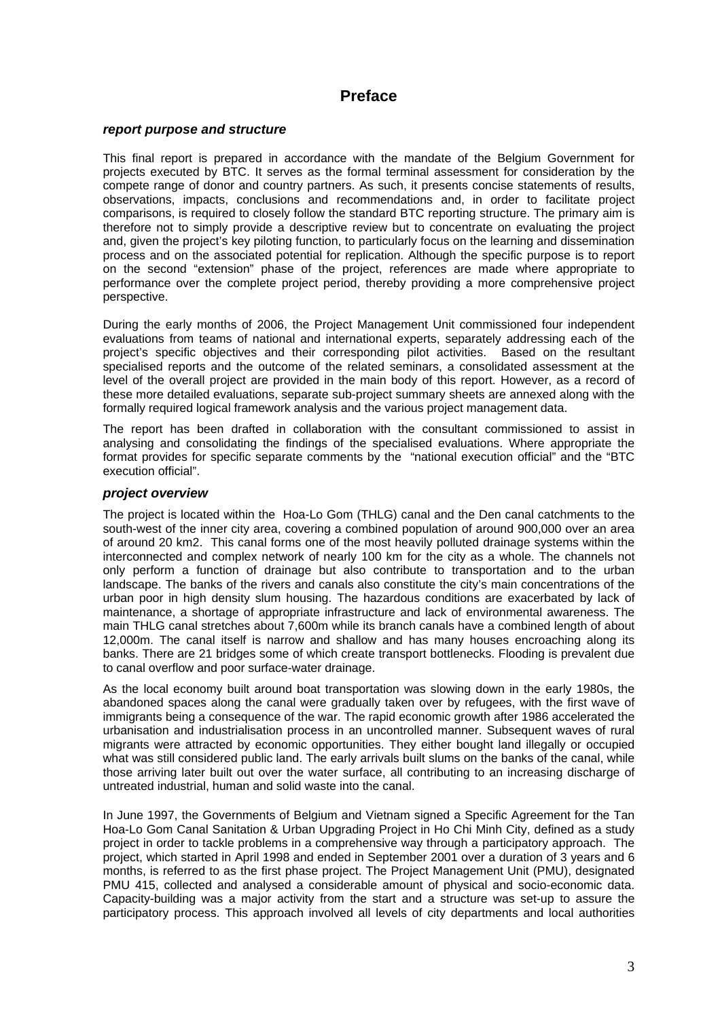### **Preface**

#### *report purpose and structure*

This final report is prepared in accordance with the mandate of the Belgium Government for projects executed by BTC. It serves as the formal terminal assessment for consideration by the compete range of donor and country partners. As such, it presents concise statements of results, observations, impacts, conclusions and recommendations and, in order to facilitate project comparisons, is required to closely follow the standard BTC reporting structure. The primary aim is therefore not to simply provide a descriptive review but to concentrate on evaluating the project and, given the project's key piloting function, to particularly focus on the learning and dissemination process and on the associated potential for replication. Although the specific purpose is to report on the second "extension" phase of the project, references are made where appropriate to performance over the complete project period, thereby providing a more comprehensive project perspective.

During the early months of 2006, the Project Management Unit commissioned four independent evaluations from teams of national and international experts, separately addressing each of the project's specific objectives and their corresponding pilot activities. Based on the resultant specialised reports and the outcome of the related seminars, a consolidated assessment at the level of the overall project are provided in the main body of this report. However, as a record of these more detailed evaluations, separate sub-project summary sheets are annexed along with the formally required logical framework analysis and the various project management data.

The report has been drafted in collaboration with the consultant commissioned to assist in analysing and consolidating the findings of the specialised evaluations. Where appropriate the format provides for specific separate comments by the "national execution official" and the "BTC execution official".

#### *project overview*

The project is located within the Hoa-Lo Gom (THLG) canal and the Den canal catchments to the south-west of the inner city area, covering a combined population of around 900,000 over an area of around 20 km2. This canal forms one of the most heavily polluted drainage systems within the interconnected and complex network of nearly 100 km for the city as a whole. The channels not only perform a function of drainage but also contribute to transportation and to the urban landscape. The banks of the rivers and canals also constitute the city's main concentrations of the urban poor in high density slum housing. The hazardous conditions are exacerbated by lack of maintenance, a shortage of appropriate infrastructure and lack of environmental awareness. The main THLG canal stretches about 7,600m while its branch canals have a combined length of about 12,000m. The canal itself is narrow and shallow and has many houses encroaching along its banks. There are 21 bridges some of which create transport bottlenecks. Flooding is prevalent due to canal overflow and poor surface-water drainage.

As the local economy built around boat transportation was slowing down in the early 1980s, the abandoned spaces along the canal were gradually taken over by refugees, with the first wave of immigrants being a consequence of the war. The rapid economic growth after 1986 accelerated the urbanisation and industrialisation process in an uncontrolled manner. Subsequent waves of rural migrants were attracted by economic opportunities. They either bought land illegally or occupied what was still considered public land. The early arrivals built slums on the banks of the canal, while those arriving later built out over the water surface, all contributing to an increasing discharge of untreated industrial, human and solid waste into the canal.

In June 1997, the Governments of Belgium and Vietnam signed a Specific Agreement for the Tan Hoa-Lo Gom Canal Sanitation & Urban Upgrading Project in Ho Chi Minh City, defined as a study project in order to tackle problems in a comprehensive way through a participatory approach. The project, which started in April 1998 and ended in September 2001 over a duration of 3 years and 6 months, is referred to as the first phase project. The Project Management Unit (PMU), designated PMU 415, collected and analysed a considerable amount of physical and socio-economic data. Capacity-building was a major activity from the start and a structure was set-up to assure the participatory process. This approach involved all levels of city departments and local authorities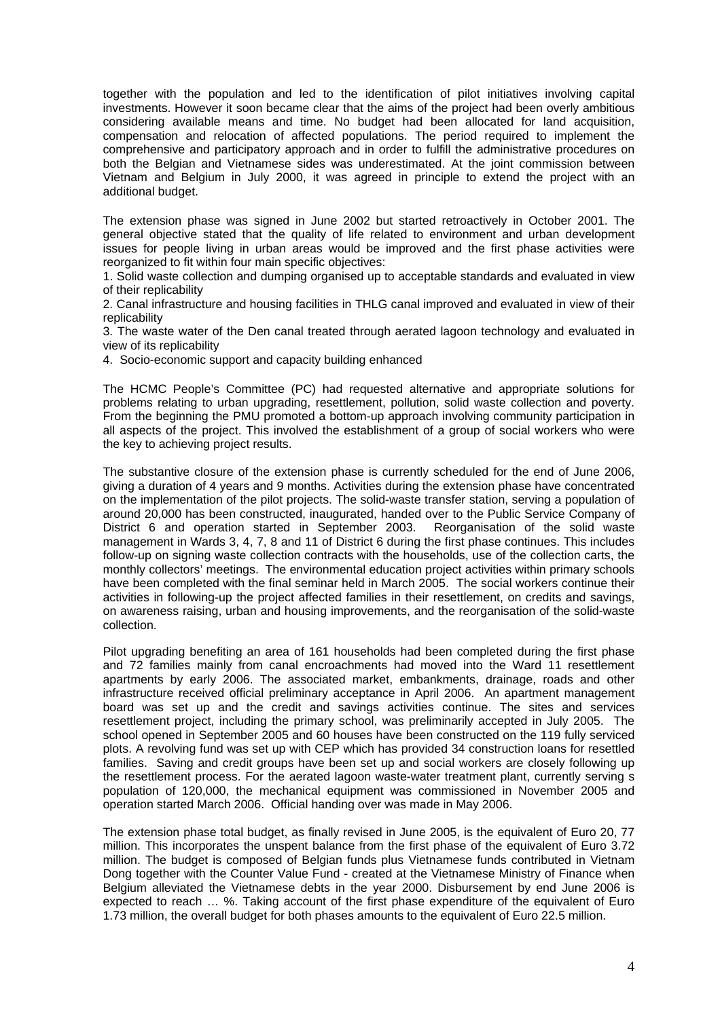together with the population and led to the identification of pilot initiatives involving capital investments. However it soon became clear that the aims of the project had been overly ambitious considering available means and time. No budget had been allocated for land acquisition, compensation and relocation of affected populations. The period required to implement the comprehensive and participatory approach and in order to fulfill the administrative procedures on both the Belgian and Vietnamese sides was underestimated. At the joint commission between Vietnam and Belgium in July 2000, it was agreed in principle to extend the project with an additional budget.

The extension phase was signed in June 2002 but started retroactively in October 2001. The general objective stated that the quality of life related to environment and urban development issues for people living in urban areas would be improved and the first phase activities were reorganized to fit within four main specific objectives:

1. Solid waste collection and dumping organised up to acceptable standards and evaluated in view of their replicability

2. Canal infrastructure and housing facilities in THLG canal improved and evaluated in view of their replicability

3. The waste water of the Den canal treated through aerated lagoon technology and evaluated in view of its replicability

4. Socio-economic support and capacity building enhanced

The HCMC People's Committee (PC) had requested alternative and appropriate solutions for problems relating to urban upgrading, resettlement, pollution, solid waste collection and poverty. From the beginning the PMU promoted a bottom-up approach involving community participation in all aspects of the project. This involved the establishment of a group of social workers who were the key to achieving project results.

The substantive closure of the extension phase is currently scheduled for the end of June 2006, giving a duration of 4 years and 9 months. Activities during the extension phase have concentrated on the implementation of the pilot projects. The solid-waste transfer station, serving a population of around 20,000 has been constructed, inaugurated, handed over to the Public Service Company of District 6 and operation started in September 2003. Reorganisation of the solid waste management in Wards 3, 4, 7, 8 and 11 of District 6 during the first phase continues. This includes follow-up on signing waste collection contracts with the households, use of the collection carts, the monthly collectors' meetings. The environmental education project activities within primary schools have been completed with the final seminar held in March 2005. The social workers continue their activities in following-up the project affected families in their resettlement, on credits and savings, on awareness raising, urban and housing improvements, and the reorganisation of the solid-waste collection.

Pilot upgrading benefiting an area of 161 households had been completed during the first phase and 72 families mainly from canal encroachments had moved into the Ward 11 resettlement apartments by early 2006. The associated market, embankments, drainage, roads and other infrastructure received official preliminary acceptance in April 2006. An apartment management board was set up and the credit and savings activities continue. The sites and services resettlement project, including the primary school, was preliminarily accepted in July 2005. The school opened in September 2005 and 60 houses have been constructed on the 119 fully serviced plots. A revolving fund was set up with CEP which has provided 34 construction loans for resettled families. Saving and credit groups have been set up and social workers are closely following up the resettlement process. For the aerated lagoon waste-water treatment plant, currently serving s population of 120,000, the mechanical equipment was commissioned in November 2005 and operation started March 2006. Official handing over was made in May 2006.

The extension phase total budget, as finally revised in June 2005, is the equivalent of Euro 20, 77 million. This incorporates the unspent balance from the first phase of the equivalent of Euro 3.72 million. The budget is composed of Belgian funds plus Vietnamese funds contributed in Vietnam Dong together with the Counter Value Fund - created at the Vietnamese Ministry of Finance when Belgium alleviated the Vietnamese debts in the year 2000. Disbursement by end June 2006 is expected to reach … %. Taking account of the first phase expenditure of the equivalent of Euro 1.73 million, the overall budget for both phases amounts to the equivalent of Euro 22.5 million.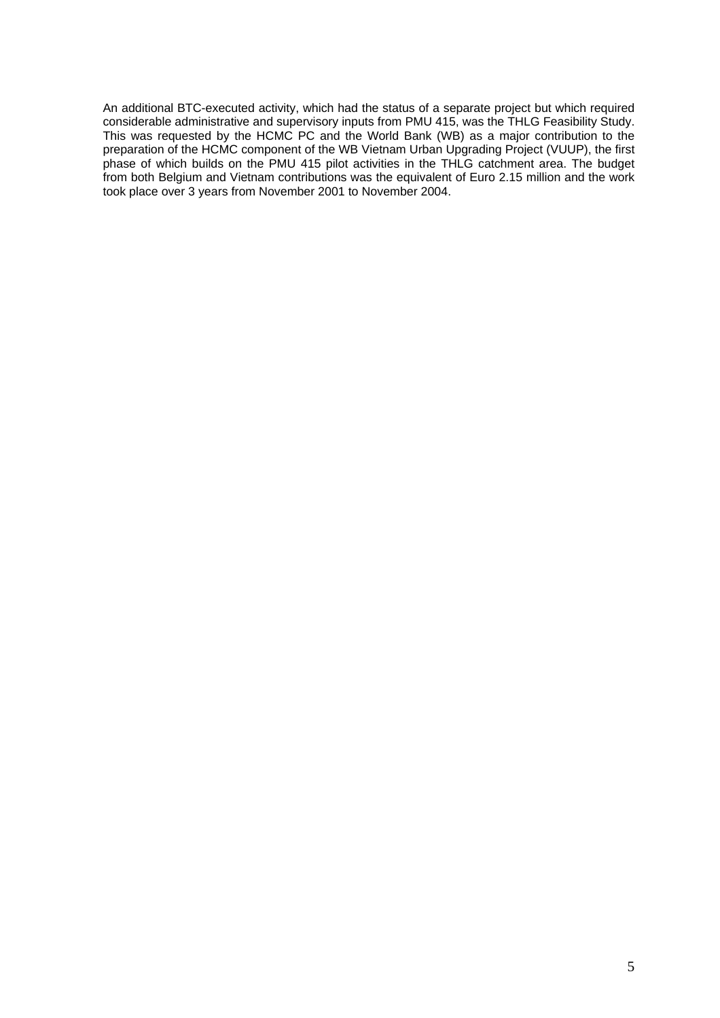An additional BTC-executed activity, which had the status of a separate project but which required considerable administrative and supervisory inputs from PMU 415, was the THLG Feasibility Study. This was requested by the HCMC PC and the World Bank (WB) as a major contribution to the preparation of the HCMC component of the WB Vietnam Urban Upgrading Project (VUUP), the first phase of which builds on the PMU 415 pilot activities in the THLG catchment area. The budget from both Belgium and Vietnam contributions was the equivalent of Euro 2.15 million and the work took place over 3 years from November 2001 to November 2004.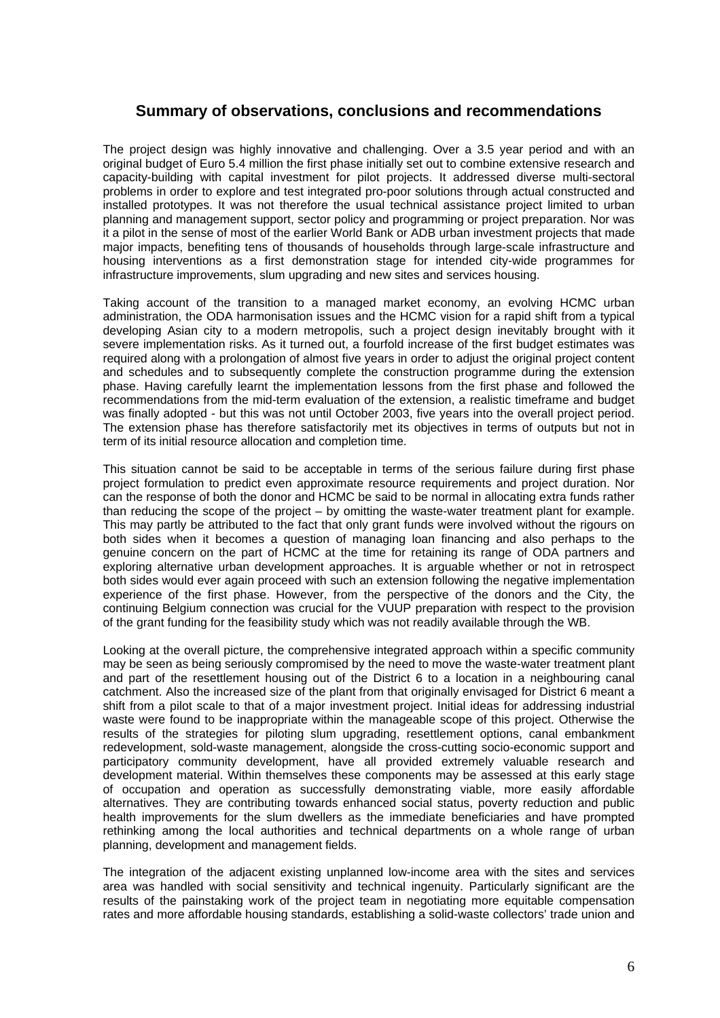### **Summary of observations, conclusions and recommendations**

The project design was highly innovative and challenging. Over a 3.5 year period and with an original budget of Euro 5.4 million the first phase initially set out to combine extensive research and capacity-building with capital investment for pilot projects. It addressed diverse multi-sectoral problems in order to explore and test integrated pro-poor solutions through actual constructed and installed prototypes. It was not therefore the usual technical assistance project limited to urban planning and management support, sector policy and programming or project preparation. Nor was it a pilot in the sense of most of the earlier World Bank or ADB urban investment projects that made major impacts, benefiting tens of thousands of households through large-scale infrastructure and housing interventions as a first demonstration stage for intended city-wide programmes for infrastructure improvements, slum upgrading and new sites and services housing.

Taking account of the transition to a managed market economy, an evolving HCMC urban administration, the ODA harmonisation issues and the HCMC vision for a rapid shift from a typical developing Asian city to a modern metropolis, such a project design inevitably brought with it severe implementation risks. As it turned out, a fourfold increase of the first budget estimates was required along with a prolongation of almost five years in order to adjust the original project content and schedules and to subsequently complete the construction programme during the extension phase. Having carefully learnt the implementation lessons from the first phase and followed the recommendations from the mid-term evaluation of the extension, a realistic timeframe and budget was finally adopted - but this was not until October 2003, five years into the overall project period. The extension phase has therefore satisfactorily met its objectives in terms of outputs but not in term of its initial resource allocation and completion time.

This situation cannot be said to be acceptable in terms of the serious failure during first phase project formulation to predict even approximate resource requirements and project duration. Nor can the response of both the donor and HCMC be said to be normal in allocating extra funds rather than reducing the scope of the project – by omitting the waste-water treatment plant for example. This may partly be attributed to the fact that only grant funds were involved without the rigours on both sides when it becomes a question of managing loan financing and also perhaps to the genuine concern on the part of HCMC at the time for retaining its range of ODA partners and exploring alternative urban development approaches. It is arguable whether or not in retrospect both sides would ever again proceed with such an extension following the negative implementation experience of the first phase. However, from the perspective of the donors and the City, the continuing Belgium connection was crucial for the VUUP preparation with respect to the provision of the grant funding for the feasibility study which was not readily available through the WB.

Looking at the overall picture, the comprehensive integrated approach within a specific community may be seen as being seriously compromised by the need to move the waste-water treatment plant and part of the resettlement housing out of the District 6 to a location in a neighbouring canal catchment. Also the increased size of the plant from that originally envisaged for District 6 meant a shift from a pilot scale to that of a major investment project. Initial ideas for addressing industrial waste were found to be inappropriate within the manageable scope of this project. Otherwise the results of the strategies for piloting slum upgrading, resettlement options, canal embankment redevelopment, sold-waste management, alongside the cross-cutting socio-economic support and participatory community development, have all provided extremely valuable research and development material. Within themselves these components may be assessed at this early stage of occupation and operation as successfully demonstrating viable, more easily affordable alternatives. They are contributing towards enhanced social status, poverty reduction and public health improvements for the slum dwellers as the immediate beneficiaries and have prompted rethinking among the local authorities and technical departments on a whole range of urban planning, development and management fields.

The integration of the adjacent existing unplanned low-income area with the sites and services area was handled with social sensitivity and technical ingenuity. Particularly significant are the results of the painstaking work of the project team in negotiating more equitable compensation rates and more affordable housing standards, establishing a solid-waste collectors' trade union and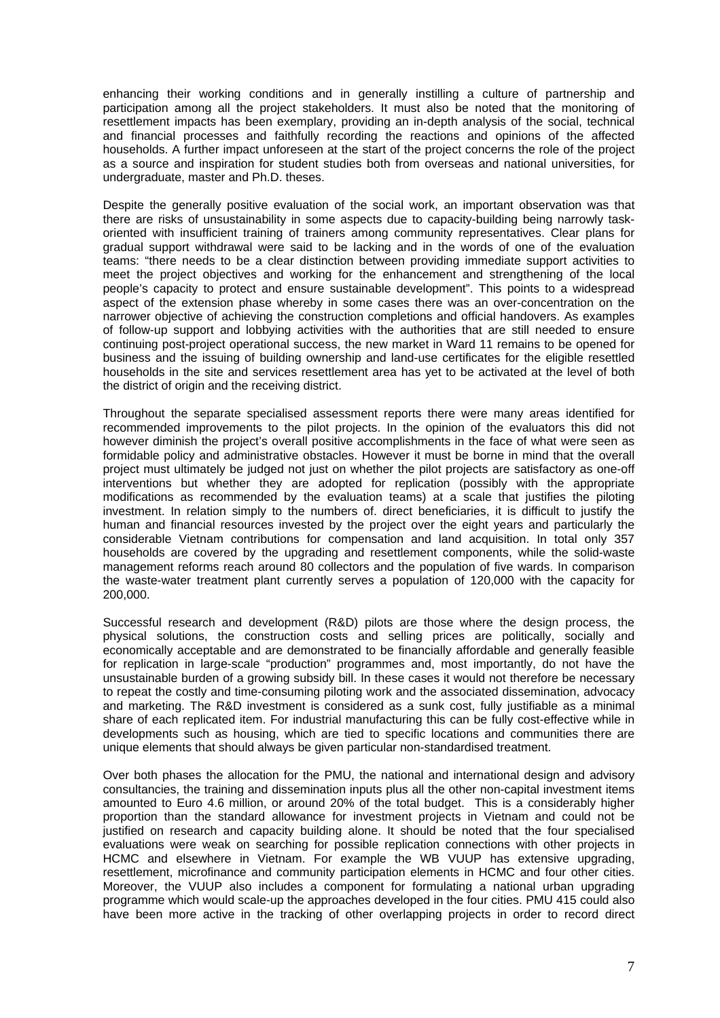enhancing their working conditions and in generally instilling a culture of partnership and participation among all the project stakeholders. It must also be noted that the monitoring of resettlement impacts has been exemplary, providing an in-depth analysis of the social, technical and financial processes and faithfully recording the reactions and opinions of the affected households. A further impact unforeseen at the start of the project concerns the role of the project as a source and inspiration for student studies both from overseas and national universities, for undergraduate, master and Ph.D. theses.

Despite the generally positive evaluation of the social work, an important observation was that there are risks of unsustainability in some aspects due to capacity-building being narrowly taskoriented with insufficient training of trainers among community representatives. Clear plans for gradual support withdrawal were said to be lacking and in the words of one of the evaluation teams: "there needs to be a clear distinction between providing immediate support activities to meet the project objectives and working for the enhancement and strengthening of the local people's capacity to protect and ensure sustainable development". This points to a widespread aspect of the extension phase whereby in some cases there was an over-concentration on the narrower objective of achieving the construction completions and official handovers. As examples of follow-up support and lobbying activities with the authorities that are still needed to ensure continuing post-project operational success, the new market in Ward 11 remains to be opened for business and the issuing of building ownership and land-use certificates for the eligible resettled households in the site and services resettlement area has yet to be activated at the level of both the district of origin and the receiving district.

Throughout the separate specialised assessment reports there were many areas identified for recommended improvements to the pilot projects. In the opinion of the evaluators this did not however diminish the project's overall positive accomplishments in the face of what were seen as formidable policy and administrative obstacles. However it must be borne in mind that the overall project must ultimately be judged not just on whether the pilot projects are satisfactory as one-off interventions but whether they are adopted for replication (possibly with the appropriate modifications as recommended by the evaluation teams) at a scale that justifies the piloting investment. In relation simply to the numbers of. direct beneficiaries, it is difficult to justify the human and financial resources invested by the project over the eight years and particularly the considerable Vietnam contributions for compensation and land acquisition. In total only 357 households are covered by the upgrading and resettlement components, while the solid-waste management reforms reach around 80 collectors and the population of five wards. In comparison the waste-water treatment plant currently serves a population of 120,000 with the capacity for 200,000.

Successful research and development (R&D) pilots are those where the design process, the physical solutions, the construction costs and selling prices are politically, socially and economically acceptable and are demonstrated to be financially affordable and generally feasible for replication in large-scale "production" programmes and, most importantly, do not have the unsustainable burden of a growing subsidy bill. In these cases it would not therefore be necessary to repeat the costly and time-consuming piloting work and the associated dissemination, advocacy and marketing. The R&D investment is considered as a sunk cost, fully justifiable as a minimal share of each replicated item. For industrial manufacturing this can be fully cost-effective while in developments such as housing, which are tied to specific locations and communities there are unique elements that should always be given particular non-standardised treatment.

Over both phases the allocation for the PMU, the national and international design and advisory consultancies, the training and dissemination inputs plus all the other non-capital investment items amounted to Euro 4.6 million, or around 20% of the total budget. This is a considerably higher proportion than the standard allowance for investment projects in Vietnam and could not be justified on research and capacity building alone. It should be noted that the four specialised evaluations were weak on searching for possible replication connections with other projects in HCMC and elsewhere in Vietnam. For example the WB VUUP has extensive upgrading, resettlement, microfinance and community participation elements in HCMC and four other cities. Moreover, the VUUP also includes a component for formulating a national urban upgrading programme which would scale-up the approaches developed in the four cities. PMU 415 could also have been more active in the tracking of other overlapping projects in order to record direct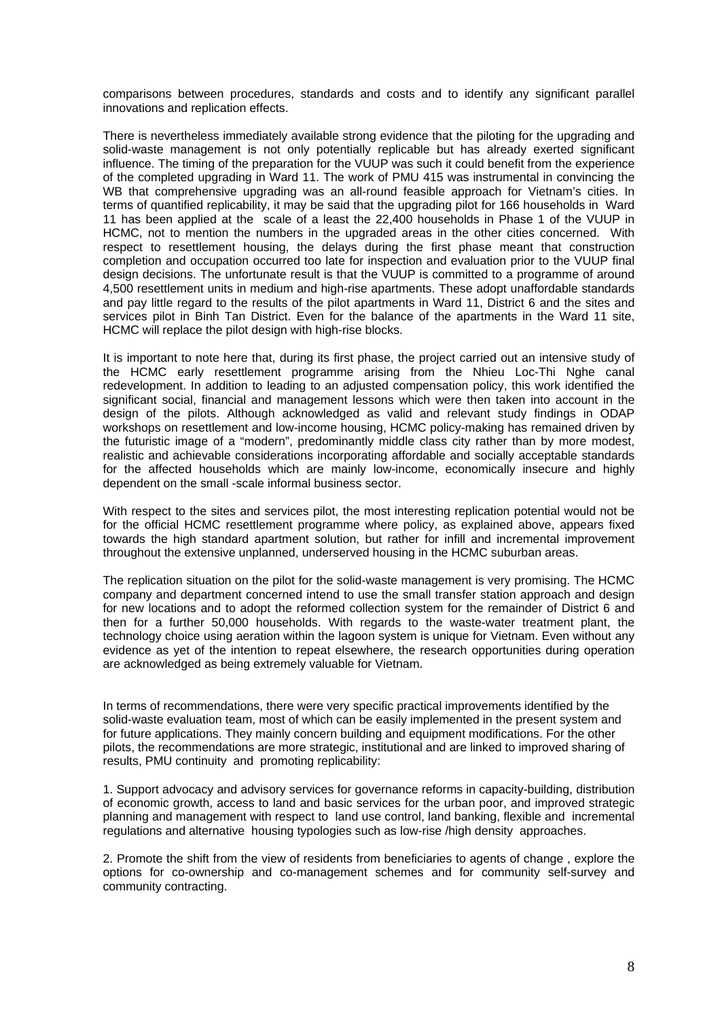comparisons between procedures, standards and costs and to identify any significant parallel innovations and replication effects.

There is nevertheless immediately available strong evidence that the piloting for the upgrading and solid-waste management is not only potentially replicable but has already exerted significant influence. The timing of the preparation for the VUUP was such it could benefit from the experience of the completed upgrading in Ward 11. The work of PMU 415 was instrumental in convincing the WB that comprehensive upgrading was an all-round feasible approach for Vietnam's cities. In terms of quantified replicability, it may be said that the upgrading pilot for 166 households in Ward 11 has been applied at the scale of a least the 22,400 households in Phase 1 of the VUUP in HCMC, not to mention the numbers in the upgraded areas in the other cities concerned. With respect to resettlement housing, the delays during the first phase meant that construction completion and occupation occurred too late for inspection and evaluation prior to the VUUP final design decisions. The unfortunate result is that the VUUP is committed to a programme of around 4,500 resettlement units in medium and high-rise apartments. These adopt unaffordable standards and pay little regard to the results of the pilot apartments in Ward 11, District 6 and the sites and services pilot in Binh Tan District. Even for the balance of the apartments in the Ward 11 site, HCMC will replace the pilot design with high-rise blocks.

It is important to note here that, during its first phase, the project carried out an intensive study of the HCMC early resettlement programme arising from the Nhieu Loc-Thi Nghe canal redevelopment. In addition to leading to an adjusted compensation policy, this work identified the significant social, financial and management lessons which were then taken into account in the design of the pilots. Although acknowledged as valid and relevant study findings in ODAP workshops on resettlement and low-income housing, HCMC policy-making has remained driven by the futuristic image of a "modern", predominantly middle class city rather than by more modest, realistic and achievable considerations incorporating affordable and socially acceptable standards for the affected households which are mainly low-income, economically insecure and highly dependent on the small -scale informal business sector.

With respect to the sites and services pilot, the most interesting replication potential would not be for the official HCMC resettlement programme where policy, as explained above, appears fixed towards the high standard apartment solution, but rather for infill and incremental improvement throughout the extensive unplanned, underserved housing in the HCMC suburban areas.

The replication situation on the pilot for the solid-waste management is very promising. The HCMC company and department concerned intend to use the small transfer station approach and design for new locations and to adopt the reformed collection system for the remainder of District 6 and then for a further 50,000 households. With regards to the waste-water treatment plant, the technology choice using aeration within the lagoon system is unique for Vietnam. Even without any evidence as yet of the intention to repeat elsewhere, the research opportunities during operation are acknowledged as being extremely valuable for Vietnam.

In terms of recommendations, there were very specific practical improvements identified by the solid-waste evaluation team, most of which can be easily implemented in the present system and for future applications. They mainly concern building and equipment modifications. For the other pilots, the recommendations are more strategic, institutional and are linked to improved sharing of results, PMU continuity and promoting replicability:

1. Support advocacy and advisory services for governance reforms in capacity-building, distribution of economic growth, access to land and basic services for the urban poor, and improved strategic planning and management with respect to land use control, land banking, flexible and incremental regulations and alternative housing typologies such as low-rise /high density approaches.

2. Promote the shift from the view of residents from beneficiaries to agents of change , explore the options for co-ownership and co-management schemes and for community self-survey and community contracting.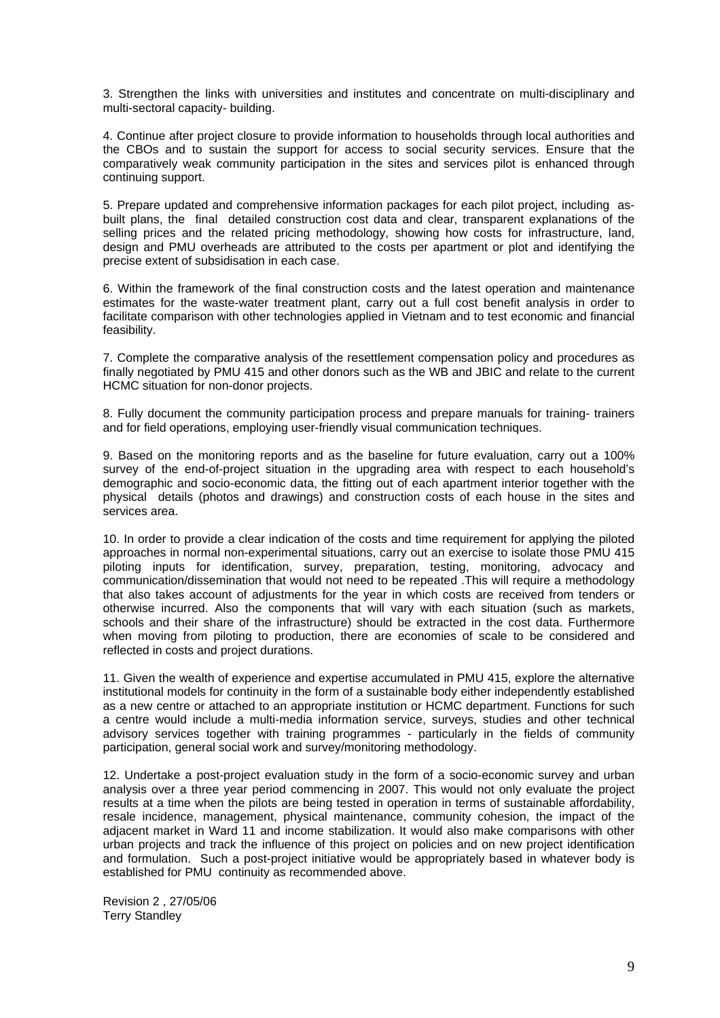3. Strengthen the links with universities and institutes and concentrate on multi-disciplinary and multi-sectoral capacity- building.

4. Continue after project closure to provide information to households through local authorities and the CBOs and to sustain the support for access to social security services. Ensure that the comparatively weak community participation in the sites and services pilot is enhanced through continuing support.

5. Prepare updated and comprehensive information packages for each pilot project, including asbuilt plans, the final detailed construction cost data and clear, transparent explanations of the selling prices and the related pricing methodology, showing how costs for infrastructure, land, design and PMU overheads are attributed to the costs per apartment or plot and identifying the precise extent of subsidisation in each case.

6. Within the framework of the final construction costs and the latest operation and maintenance estimates for the waste-water treatment plant, carry out a full cost benefit analysis in order to facilitate comparison with other technologies applied in Vietnam and to test economic and financial feasibility.

7. Complete the comparative analysis of the resettlement compensation policy and procedures as finally negotiated by PMU 415 and other donors such as the WB and JBIC and relate to the current HCMC situation for non-donor projects.

8. Fully document the community participation process and prepare manuals for training- trainers and for field operations, employing user-friendly visual communication techniques.

9. Based on the monitoring reports and as the baseline for future evaluation, carry out a 100% survey of the end-of-project situation in the upgrading area with respect to each household's demographic and socio-economic data, the fitting out of each apartment interior together with the physical details (photos and drawings) and construction costs of each house in the sites and services area.

10. In order to provide a clear indication of the costs and time requirement for applying the piloted approaches in normal non-experimental situations, carry out an exercise to isolate those PMU 415 piloting inputs for identification, survey, preparation, testing, monitoring, advocacy and communication/dissemination that would not need to be repeated .This will require a methodology that also takes account of adjustments for the year in which costs are received from tenders or otherwise incurred. Also the components that will vary with each situation (such as markets, schools and their share of the infrastructure) should be extracted in the cost data. Furthermore when moving from piloting to production, there are economies of scale to be considered and reflected in costs and project durations.

11. Given the wealth of experience and expertise accumulated in PMU 415, explore the alternative institutional models for continuity in the form of a sustainable body either independently established as a new centre or attached to an appropriate institution or HCMC department. Functions for such a centre would include a multi-media information service, surveys, studies and other technical advisory services together with training programmes - particularly in the fields of community participation, general social work and survey/monitoring methodology.

12. Undertake a post-project evaluation study in the form of a socio-economic survey and urban analysis over a three year period commencing in 2007. This would not only evaluate the project results at a time when the pilots are being tested in operation in terms of sustainable affordability, resale incidence, management, physical maintenance, community cohesion, the impact of the adjacent market in Ward 11 and income stabilization. It would also make comparisons with other urban projects and track the influence of this project on policies and on new project identification and formulation. Such a post-project initiative would be appropriately based in whatever body is established for PMU continuity as recommended above.

Revision 2 , 27/05/06 Terry Standley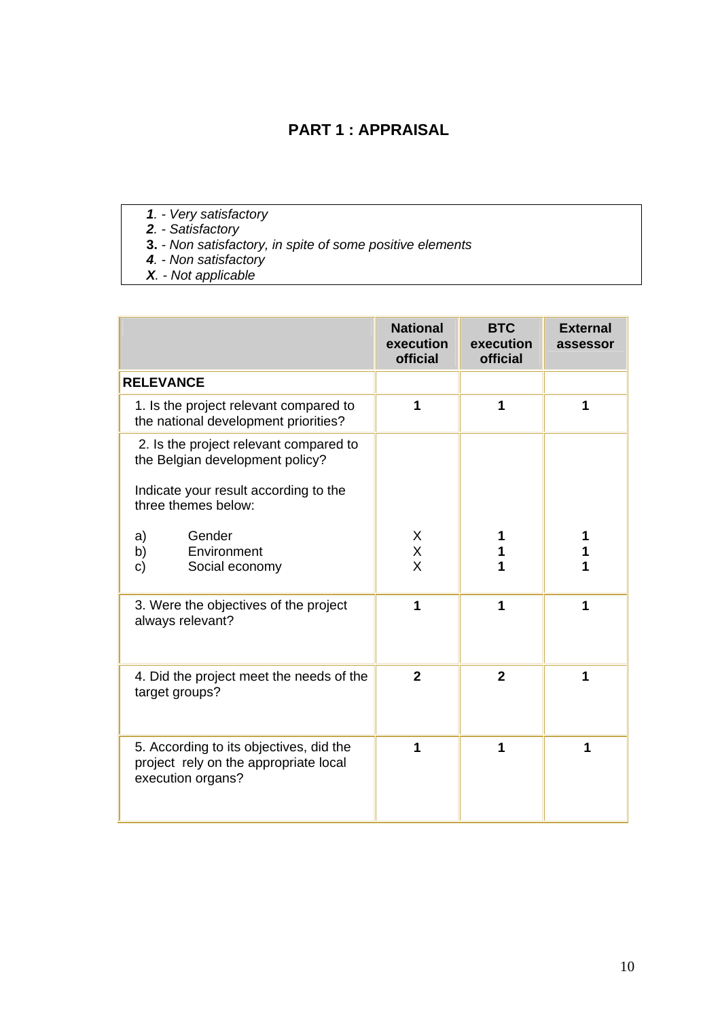# **PART 1 : APPRAISAL**

- *1. Very satisfactory* 
	- *2. Satisfactory*
	- **3.** *Non satisfactory, in spite of some positive elements*
	- *4. Non satisfactory*
	- *X. Not applicable*

|                                                                                                                                           | <b>National</b><br>execution<br>official | <b>BTC</b><br>execution<br>official | <b>External</b><br>assessor |
|-------------------------------------------------------------------------------------------------------------------------------------------|------------------------------------------|-------------------------------------|-----------------------------|
| <b>RELEVANCE</b>                                                                                                                          |                                          |                                     |                             |
| 1. Is the project relevant compared to<br>the national development priorities?                                                            | 1                                        | 1                                   | 1                           |
| 2. Is the project relevant compared to<br>the Belgian development policy?<br>Indicate your result according to the<br>three themes below: |                                          |                                     |                             |
| Gender<br>a)<br>b)<br>Environment<br>Social economy<br>c)                                                                                 | X<br>X<br>$\overline{\mathsf{X}}$        |                                     |                             |
| 3. Were the objectives of the project<br>always relevant?                                                                                 | 1                                        | 1                                   | 1                           |
| 4. Did the project meet the needs of the<br>target groups?                                                                                | $\overline{2}$                           | $\overline{2}$                      | 1                           |
| 5. According to its objectives, did the<br>project rely on the appropriate local<br>execution organs?                                     | 1                                        | 1                                   | 1                           |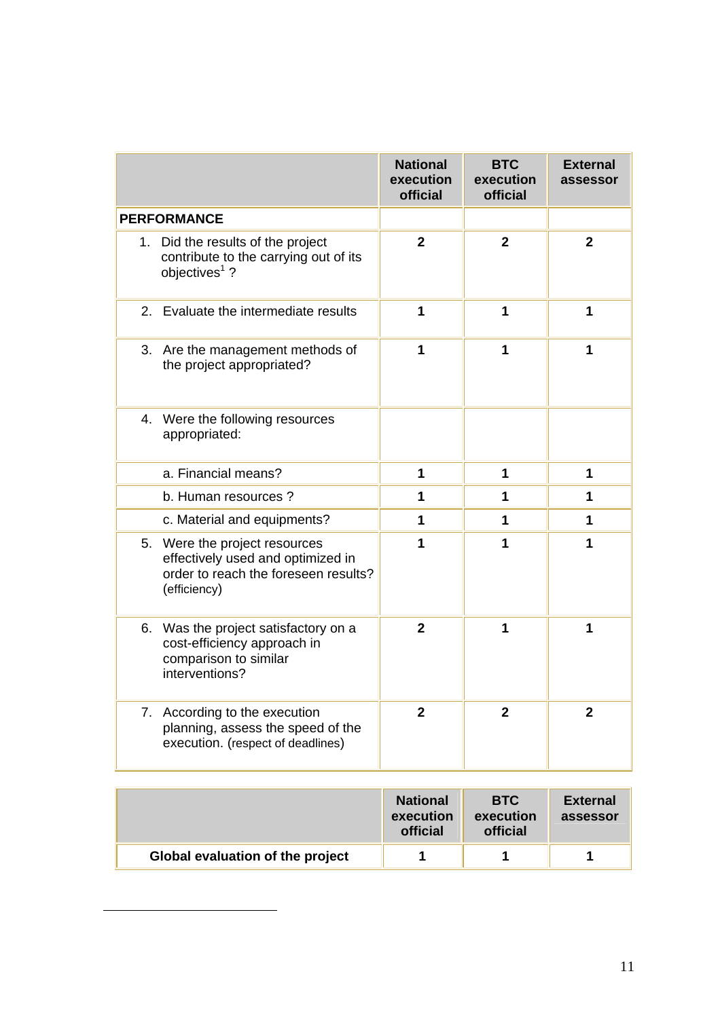|                                                                                                                            | <b>National</b><br>execution<br>official | <b>BTC</b><br>execution<br>official | <b>External</b><br>assessor |
|----------------------------------------------------------------------------------------------------------------------------|------------------------------------------|-------------------------------------|-----------------------------|
| <b>PERFORMANCE</b>                                                                                                         |                                          |                                     |                             |
| 1. Did the results of the project<br>contribute to the carrying out of its<br>objectives <sup>1</sup> ?                    | $\overline{2}$                           | $\overline{2}$                      | $\overline{2}$              |
| 2.<br>Evaluate the intermediate results                                                                                    | 1                                        | 1                                   | 1                           |
| 3. Are the management methods of<br>the project appropriated?                                                              | 1                                        | 1                                   | 1                           |
| 4. Were the following resources<br>appropriated:                                                                           |                                          |                                     |                             |
| a. Financial means?                                                                                                        | 1                                        | 1                                   | 1                           |
| b. Human resources ?                                                                                                       | 1                                        | 1                                   | 1                           |
| c. Material and equipments?                                                                                                | 1                                        | 1                                   | 1                           |
| 5. Were the project resources<br>effectively used and optimized in<br>order to reach the foreseen results?<br>(efficiency) | 1                                        | 1                                   | 1                           |
| 6. Was the project satisfactory on a<br>cost-efficiency approach in<br>comparison to similar<br>interventions?             | $\overline{2}$                           | 1                                   | 1                           |
| 7. According to the execution<br>planning, assess the speed of the<br>execution. (respect of deadlines)                    | $\mathbf{2}$                             | $\overline{2}$                      | $\overline{2}$              |

|                                  | <b>National</b><br>execution<br>official | <b>BTC</b><br>execution<br><b>official</b> | <b>External</b><br>assessor |
|----------------------------------|------------------------------------------|--------------------------------------------|-----------------------------|
| Global evaluation of the project |                                          |                                            |                             |

<span id="page-11-0"></span> $\overline{a}$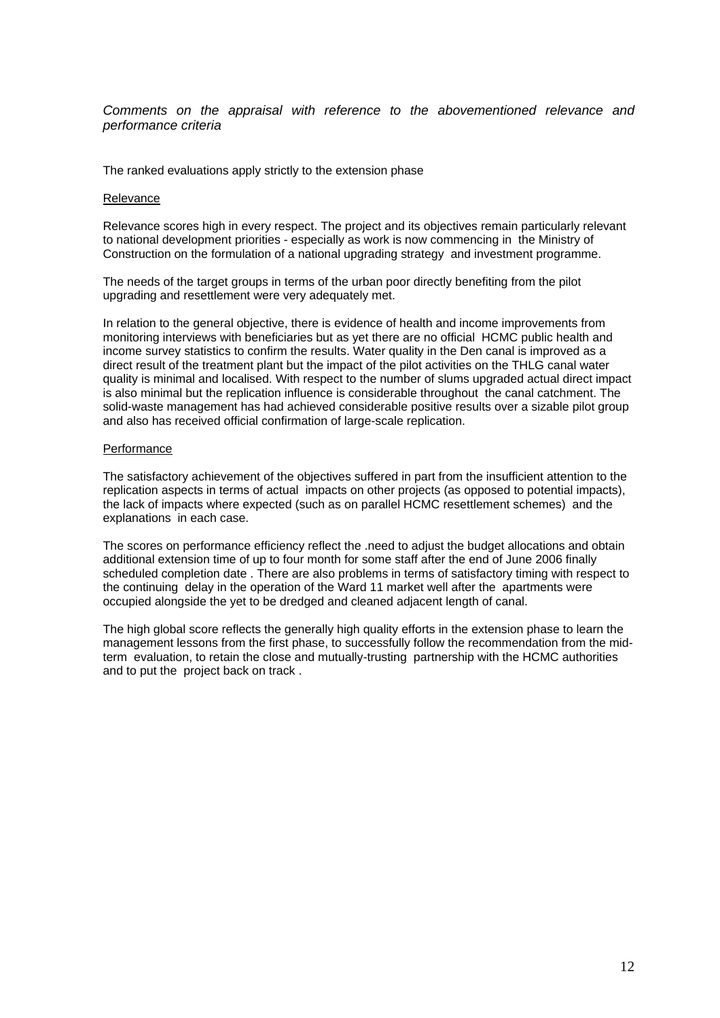*Comments on the appraisal with reference to the abovementioned relevance and performance criteria* 

The ranked evaluations apply strictly to the extension phase

#### Relevance

Relevance scores high in every respect. The project and its objectives remain particularly relevant to national development priorities - especially as work is now commencing in the Ministry of Construction on the formulation of a national upgrading strategy and investment programme.

The needs of the target groups in terms of the urban poor directly benefiting from the pilot upgrading and resettlement were very adequately met.

In relation to the general objective, there is evidence of health and income improvements from monitoring interviews with beneficiaries but as yet there are no official HCMC public health and income survey statistics to confirm the results. Water quality in the Den canal is improved as a direct result of the treatment plant but the impact of the pilot activities on the THLG canal water quality is minimal and localised. With respect to the number of slums upgraded actual direct impact is also minimal but the replication influence is considerable throughout the canal catchment. The solid-waste management has had achieved considerable positive results over a sizable pilot group and also has received official confirmation of large-scale replication.

#### Performance

The satisfactory achievement of the objectives suffered in part from the insufficient attention to the replication aspects in terms of actual impacts on other projects (as opposed to potential impacts), the lack of impacts where expected (such as on parallel HCMC resettlement schemes) and the explanations in each case.

The scores on performance efficiency reflect the .need to adjust the budget allocations and obtain additional extension time of up to four month for some staff after the end of June 2006 finally scheduled completion date . There are also problems in terms of satisfactory timing with respect to the continuing delay in the operation of the Ward 11 market well after the apartments were occupied alongside the yet to be dredged and cleaned adjacent length of canal.

The high global score reflects the generally high quality efforts in the extension phase to learn the management lessons from the first phase, to successfully follow the recommendation from the midterm evaluation, to retain the close and mutually-trusting partnership with the HCMC authorities and to put the project back on track .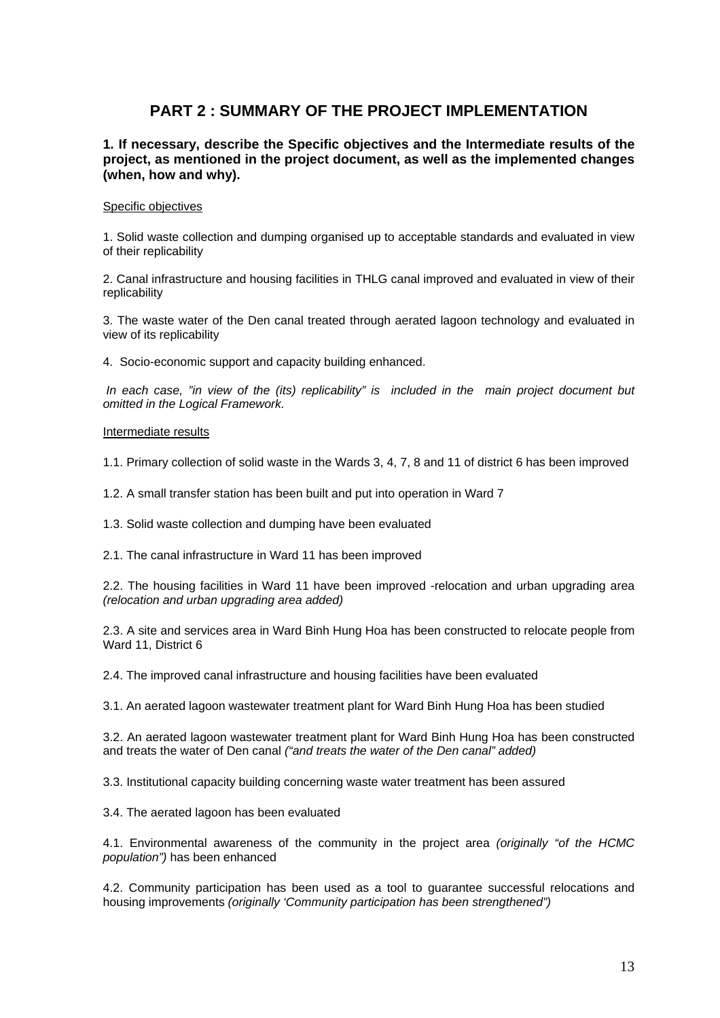# **PART 2 : SUMMARY OF THE PROJECT IMPLEMENTATION**

#### **1. If necessary, describe the Specific objectives and the Intermediate results of the project, as mentioned in the project document, as well as the implemented changes (when, how and why).**

#### Specific objectives

1. Solid waste collection and dumping organised up to acceptable standards and evaluated in view of their replicability

2. Canal infrastructure and housing facilities in THLG canal improved and evaluated in view of their replicability

3. The waste water of the Den canal treated through aerated lagoon technology and evaluated in view of its replicability

4. Socio-economic support and capacity building enhanced.

*In each case, "in view of the (its) replicability" is included in the main project document but omitted in the Logical Framework.* 

#### Intermediate results

1.1. Primary collection of solid waste in the Wards 3, 4, 7, 8 and 11 of district 6 has been improved

1.2. A small transfer station has been built and put into operation in Ward 7

1.3. Solid waste collection and dumping have been evaluated

2.1. The canal infrastructure in Ward 11 has been improved

2.2. The housing facilities in Ward 11 have been improved -relocation and urban upgrading area *(relocation and urban upgrading area added)* 

2.3. A site and services area in Ward Binh Hung Hoa has been constructed to relocate people from Ward 11, District 6

2.4. The improved canal infrastructure and housing facilities have been evaluated

3.1. An aerated lagoon wastewater treatment plant for Ward Binh Hung Hoa has been studied

3.2. An aerated lagoon wastewater treatment plant for Ward Binh Hung Hoa has been constructed and treats the water of Den canal *("and treats the water of the Den canal" added)* 

3.3. Institutional capacity building concerning waste water treatment has been assured

3.4. The aerated lagoon has been evaluated

4.1. Environmental awareness of the community in the project area *(originally "of the HCMC population")* has been enhanced

4.2. Community participation has been used as a tool to guarantee successful relocations and housing improvements *(originally 'Community participation has been strengthened")*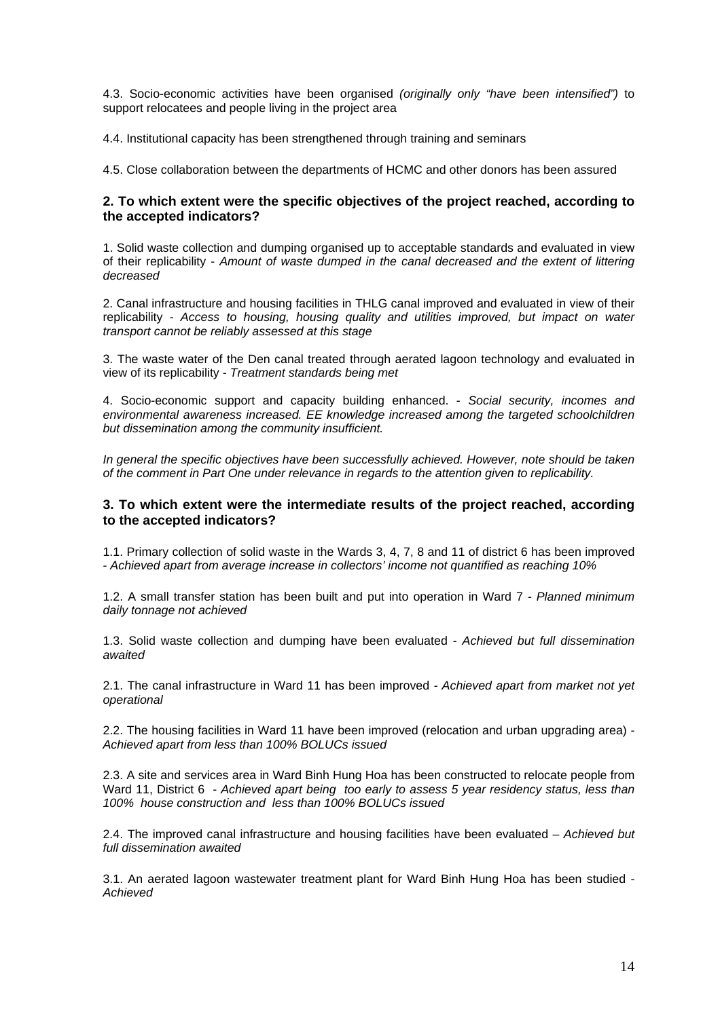4.3. Socio-economic activities have been organised *(originally only "have been intensified")* to support relocatees and people living in the project area

4.4. Institutional capacity has been strengthened through training and seminars

4.5. Close collaboration between the departments of HCMC and other donors has been assured

#### **2. To which extent were the specific objectives of the project reached, according to the accepted indicators?**

1. Solid waste collection and dumping organised up to acceptable standards and evaluated in view of their replicability - *Amount of waste dumped in the canal decreased and the extent of littering decreased*

2. Canal infrastructure and housing facilities in THLG canal improved and evaluated in view of their replicability - *Access to housing, housing quality and utilities improved, but impact on water transport cannot be reliably assessed at this stage*

3. The waste water of the Den canal treated through aerated lagoon technology and evaluated in view of its replicability - *Treatment standards being met*

4. Socio-economic support and capacity building enhanced. - *Social security, incomes and environmental awareness increased. EE knowledge increased among the targeted schoolchildren but dissemination among the community insufficient.* 

*In general the specific objectives have been successfully achieved. However, note should be taken of the comment in Part One under relevance in regards to the attention given to replicability.* 

#### **3. To which extent were the intermediate results of the project reached, according to the accepted indicators?**

1.1. Primary collection of solid waste in the Wards 3, 4, 7, 8 and 11 of district 6 has been improved - *Achieved apart from average increase in collectors' income not quantified as reaching 10%*

1.2. A small transfer station has been built and put into operation in Ward 7 *- Planned minimum daily tonnage not achieved* 

1.3. Solid waste collection and dumping have been evaluated - *Achieved but full dissemination awaited* 

2.1. The canal infrastructure in Ward 11 has been improved *- Achieved apart from market not yet operational* 

2.2. The housing facilities in Ward 11 have been improved (relocation and urban upgrading area) *- Achieved apart from less than 100% BOLUCs issued* 

2.3. A site and services area in Ward Binh Hung Hoa has been constructed to relocate people from Ward 11, District 6 - *Achieved apart being too early to assess 5 year residency status, less than 100% house construction and less than 100% BOLUCs issued* 

2.4. The improved canal infrastructure and housing facilities have been evaluated – *Achieved but full dissemination awaited* 

3.1. An aerated lagoon wastewater treatment plant for Ward Binh Hung Hoa has been studied *- Achieved*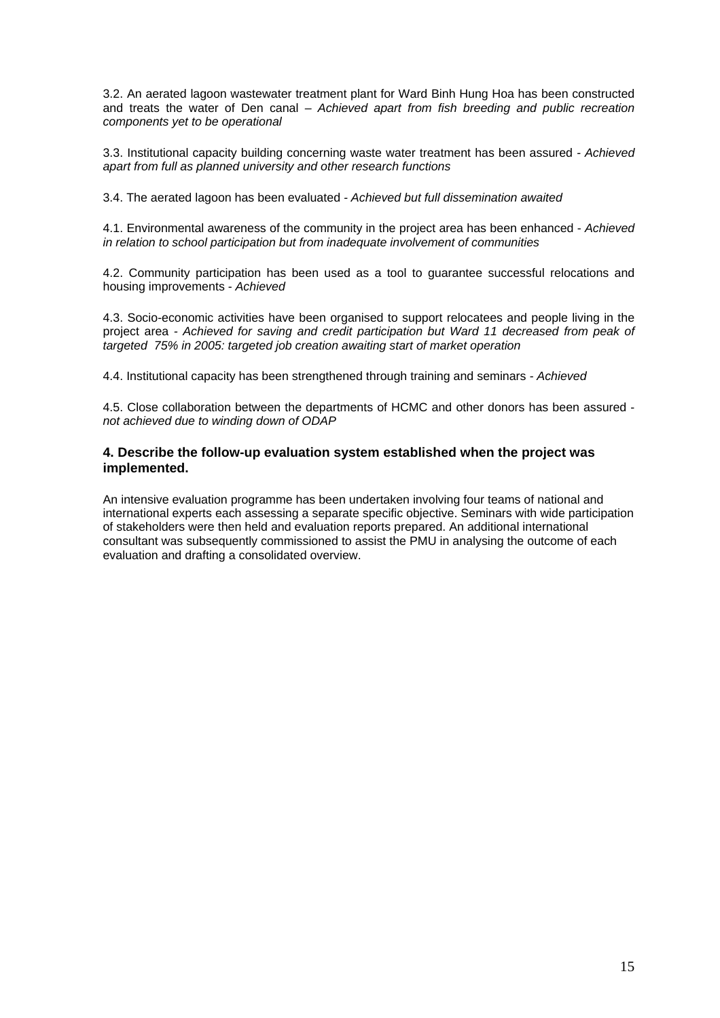3.2. An aerated lagoon wastewater treatment plant for Ward Binh Hung Hoa has been constructed and treats the water of Den canal *– Achieved apart from fish breeding and public recreation components yet to be operational* 

3.3. Institutional capacity building concerning waste water treatment has been assured *- Achieved apart from full as planned university and other research functions* 

3.4. The aerated lagoon has been evaluated *- Achieved but full dissemination awaited*

4.1. Environmental awareness of the community in the project area has been enhanced - *Achieved in relation to school participation but from inadequate involvement of communities* 

4.2. Community participation has been used as a tool to guarantee successful relocations and housing improvements - *Achieved* 

4.3. Socio-economic activities have been organised to support relocatees and people living in the project area *- Achieved for saving and credit participation but Ward 11 decreased from peak of targeted 75% in 2005: targeted job creation awaiting start of market operation* 

4.4. Institutional capacity has been strengthened through training and seminars *- Achieved* 

4.5. Close collaboration between the departments of HCMC and other donors has been assured *not achieved due to winding down of ODAP*

#### **4. Describe the follow-up evaluation system established when the project was implemented.**

An intensive evaluation programme has been undertaken involving four teams of national and international experts each assessing a separate specific objective. Seminars with wide participation of stakeholders were then held and evaluation reports prepared. An additional international consultant was subsequently commissioned to assist the PMU in analysing the outcome of each evaluation and drafting a consolidated overview.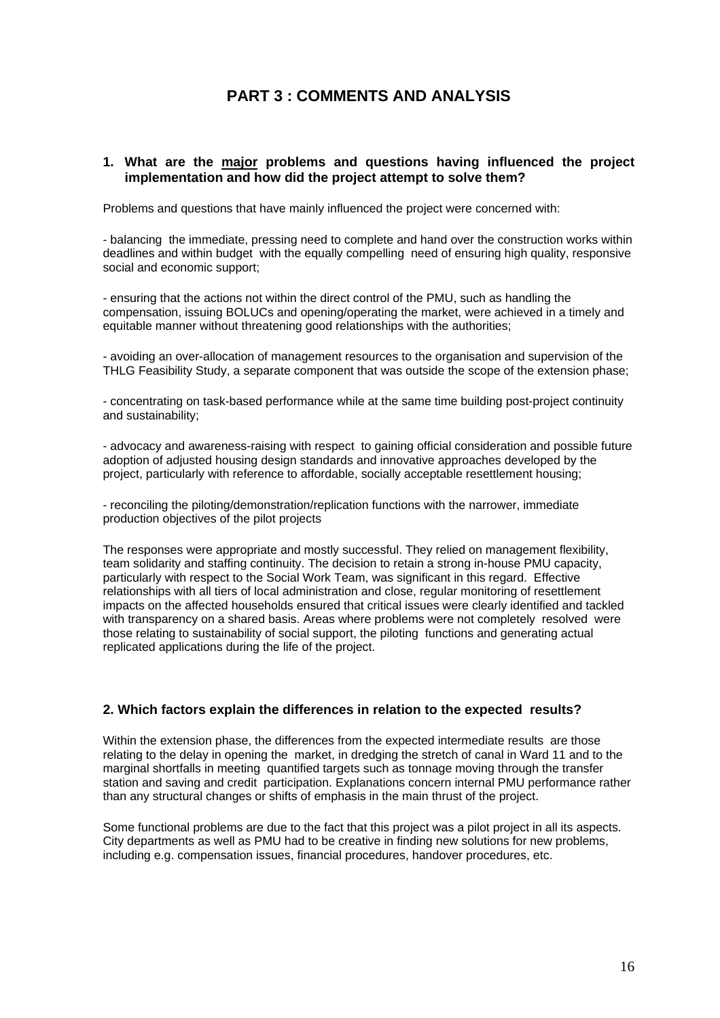# **PART 3 : COMMENTS AND ANALYSIS**

#### **1. What are the major problems and questions having influenced the project implementation and how did the project attempt to solve them?**

Problems and questions that have mainly influenced the project were concerned with:

- balancing the immediate, pressing need to complete and hand over the construction works within deadlines and within budget with the equally compelling need of ensuring high quality, responsive social and economic support;

- ensuring that the actions not within the direct control of the PMU, such as handling the compensation, issuing BOLUCs and opening/operating the market, were achieved in a timely and equitable manner without threatening good relationships with the authorities;

- avoiding an over-allocation of management resources to the organisation and supervision of the THLG Feasibility Study, a separate component that was outside the scope of the extension phase;

- concentrating on task-based performance while at the same time building post-project continuity and sustainability;

- advocacy and awareness-raising with respect to gaining official consideration and possible future adoption of adjusted housing design standards and innovative approaches developed by the project, particularly with reference to affordable, socially acceptable resettlement housing;

- reconciling the piloting/demonstration/replication functions with the narrower, immediate production objectives of the pilot projects

The responses were appropriate and mostly successful. They relied on management flexibility, team solidarity and staffing continuity. The decision to retain a strong in-house PMU capacity, particularly with respect to the Social Work Team, was significant in this regard. Effective relationships with all tiers of local administration and close, regular monitoring of resettlement impacts on the affected households ensured that critical issues were clearly identified and tackled with transparency on a shared basis. Areas where problems were not completely resolved were those relating to sustainability of social support, the piloting functions and generating actual replicated applications during the life of the project.

#### **2. Which factors explain the differences in relation to the expected results?**

Within the extension phase, the differences from the expected intermediate results are those relating to the delay in opening the market, in dredging the stretch of canal in Ward 11 and to the marginal shortfalls in meeting quantified targets such as tonnage moving through the transfer station and saving and credit participation. Explanations concern internal PMU performance rather than any structural changes or shifts of emphasis in the main thrust of the project.

Some functional problems are due to the fact that this project was a pilot project in all its aspects. City departments as well as PMU had to be creative in finding new solutions for new problems, including e.g. compensation issues, financial procedures, handover procedures, etc.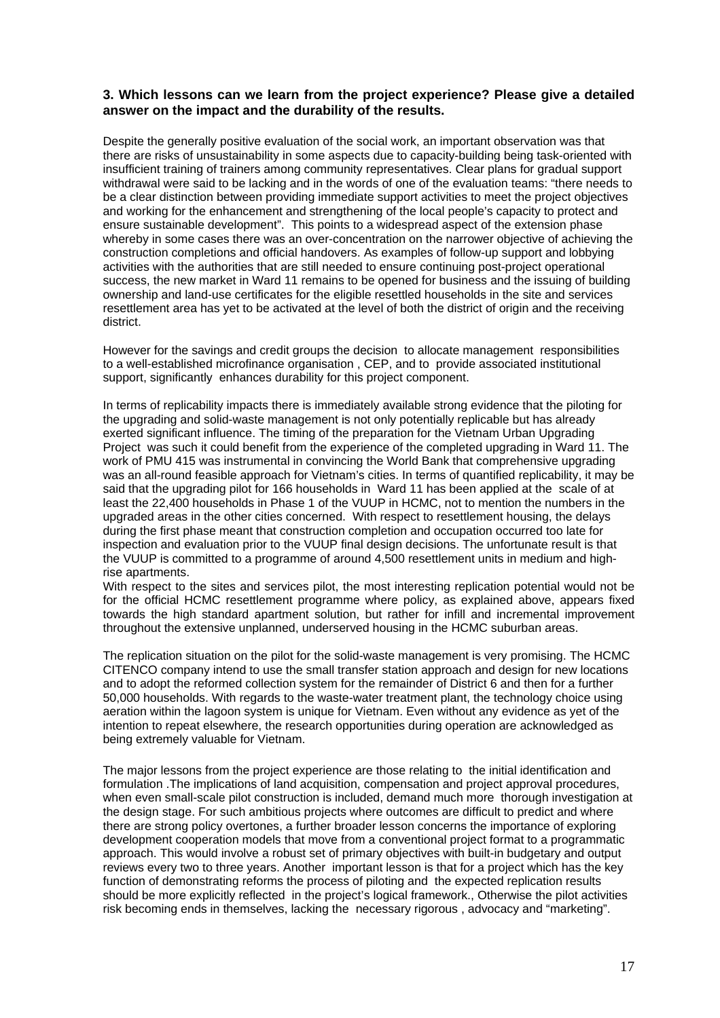#### **3. Which lessons can we learn from the project experience? Please give a detailed answer on the impact and the durability of the results.**

Despite the generally positive evaluation of the social work, an important observation was that there are risks of unsustainability in some aspects due to capacity-building being task-oriented with insufficient training of trainers among community representatives. Clear plans for gradual support withdrawal were said to be lacking and in the words of one of the evaluation teams: "there needs to be a clear distinction between providing immediate support activities to meet the project objectives and working for the enhancement and strengthening of the local people's capacity to protect and ensure sustainable development". This points to a widespread aspect of the extension phase whereby in some cases there was an over-concentration on the narrower objective of achieving the construction completions and official handovers. As examples of follow-up support and lobbying activities with the authorities that are still needed to ensure continuing post-project operational success, the new market in Ward 11 remains to be opened for business and the issuing of building ownership and land-use certificates for the eligible resettled households in the site and services resettlement area has yet to be activated at the level of both the district of origin and the receiving district.

However for the savings and credit groups the decision to allocate management responsibilities to a well-established microfinance organisation , CEP, and to provide associated institutional support, significantly enhances durability for this project component.

In terms of replicability impacts there is immediately available strong evidence that the piloting for the upgrading and solid-waste management is not only potentially replicable but has already exerted significant influence. The timing of the preparation for the Vietnam Urban Upgrading Project was such it could benefit from the experience of the completed upgrading in Ward 11. The work of PMU 415 was instrumental in convincing the World Bank that comprehensive upgrading was an all-round feasible approach for Vietnam's cities. In terms of quantified replicability, it may be said that the upgrading pilot for 166 households in Ward 11 has been applied at the scale of at least the 22,400 households in Phase 1 of the VUUP in HCMC, not to mention the numbers in the upgraded areas in the other cities concerned. With respect to resettlement housing, the delays during the first phase meant that construction completion and occupation occurred too late for inspection and evaluation prior to the VUUP final design decisions. The unfortunate result is that the VUUP is committed to a programme of around 4,500 resettlement units in medium and highrise apartments.

With respect to the sites and services pilot, the most interesting replication potential would not be for the official HCMC resettlement programme where policy, as explained above, appears fixed towards the high standard apartment solution, but rather for infill and incremental improvement throughout the extensive unplanned, underserved housing in the HCMC suburban areas.

The replication situation on the pilot for the solid-waste management is very promising. The HCMC CITENCO company intend to use the small transfer station approach and design for new locations and to adopt the reformed collection system for the remainder of District 6 and then for a further 50,000 households. With regards to the waste-water treatment plant, the technology choice using aeration within the lagoon system is unique for Vietnam. Even without any evidence as yet of the intention to repeat elsewhere, the research opportunities during operation are acknowledged as being extremely valuable for Vietnam.

The major lessons from the project experience are those relating to the initial identification and formulation .The implications of land acquisition, compensation and project approval procedures, when even small-scale pilot construction is included, demand much more thorough investigation at the design stage. For such ambitious projects where outcomes are difficult to predict and where there are strong policy overtones, a further broader lesson concerns the importance of exploring development cooperation models that move from a conventional project format to a programmatic approach. This would involve a robust set of primary objectives with built-in budgetary and output reviews every two to three years. Another important lesson is that for a project which has the key function of demonstrating reforms the process of piloting and the expected replication results should be more explicitly reflected in the project's logical framework., Otherwise the pilot activities risk becoming ends in themselves, lacking the necessary rigorous , advocacy and "marketing".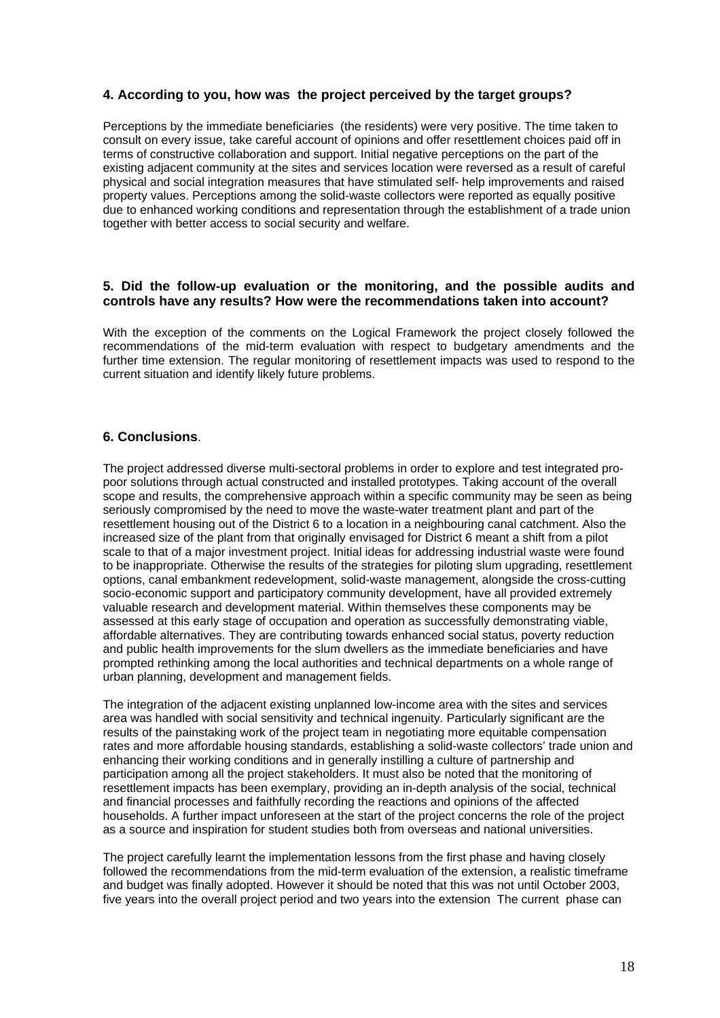#### **4. According to you, how was the project perceived by the target groups?**

Perceptions by the immediate beneficiaries (the residents) were very positive. The time taken to consult on every issue, take careful account of opinions and offer resettlement choices paid off in terms of constructive collaboration and support. Initial negative perceptions on the part of the existing adjacent community at the sites and services location were reversed as a result of careful physical and social integration measures that have stimulated self- help improvements and raised property values. Perceptions among the solid-waste collectors were reported as equally positive due to enhanced working conditions and representation through the establishment of a trade union together with better access to social security and welfare.

#### **5. Did the follow-up evaluation or the monitoring, and the possible audits and controls have any results? How were the recommendations taken into account?**

With the exception of the comments on the Logical Framework the project closely followed the recommendations of the mid-term evaluation with respect to budgetary amendments and the further time extension. The regular monitoring of resettlement impacts was used to respond to the current situation and identify likely future problems.

#### **6. Conclusions**.

The project addressed diverse multi-sectoral problems in order to explore and test integrated propoor solutions through actual constructed and installed prototypes. Taking account of the overall scope and results, the comprehensive approach within a specific community may be seen as being seriously compromised by the need to move the waste-water treatment plant and part of the resettlement housing out of the District 6 to a location in a neighbouring canal catchment. Also the increased size of the plant from that originally envisaged for District 6 meant a shift from a pilot scale to that of a major investment project. Initial ideas for addressing industrial waste were found to be inappropriate. Otherwise the results of the strategies for piloting slum upgrading, resettlement options, canal embankment redevelopment, solid-waste management, alongside the cross-cutting socio-economic support and participatory community development, have all provided extremely valuable research and development material. Within themselves these components may be assessed at this early stage of occupation and operation as successfully demonstrating viable, affordable alternatives. They are contributing towards enhanced social status, poverty reduction and public health improvements for the slum dwellers as the immediate beneficiaries and have prompted rethinking among the local authorities and technical departments on a whole range of urban planning, development and management fields.

The integration of the adjacent existing unplanned low-income area with the sites and services area was handled with social sensitivity and technical ingenuity. Particularly significant are the results of the painstaking work of the project team in negotiating more equitable compensation rates and more affordable housing standards, establishing a solid-waste collectors' trade union and enhancing their working conditions and in generally instilling a culture of partnership and participation among all the project stakeholders. It must also be noted that the monitoring of resettlement impacts has been exemplary, providing an in-depth analysis of the social, technical and financial processes and faithfully recording the reactions and opinions of the affected households. A further impact unforeseen at the start of the project concerns the role of the project as a source and inspiration for student studies both from overseas and national universities.

The project carefully learnt the implementation lessons from the first phase and having closely followed the recommendations from the mid-term evaluation of the extension, a realistic timeframe and budget was finally adopted. However it should be noted that this was not until October 2003, five years into the overall project period and two years into the extension The current phase can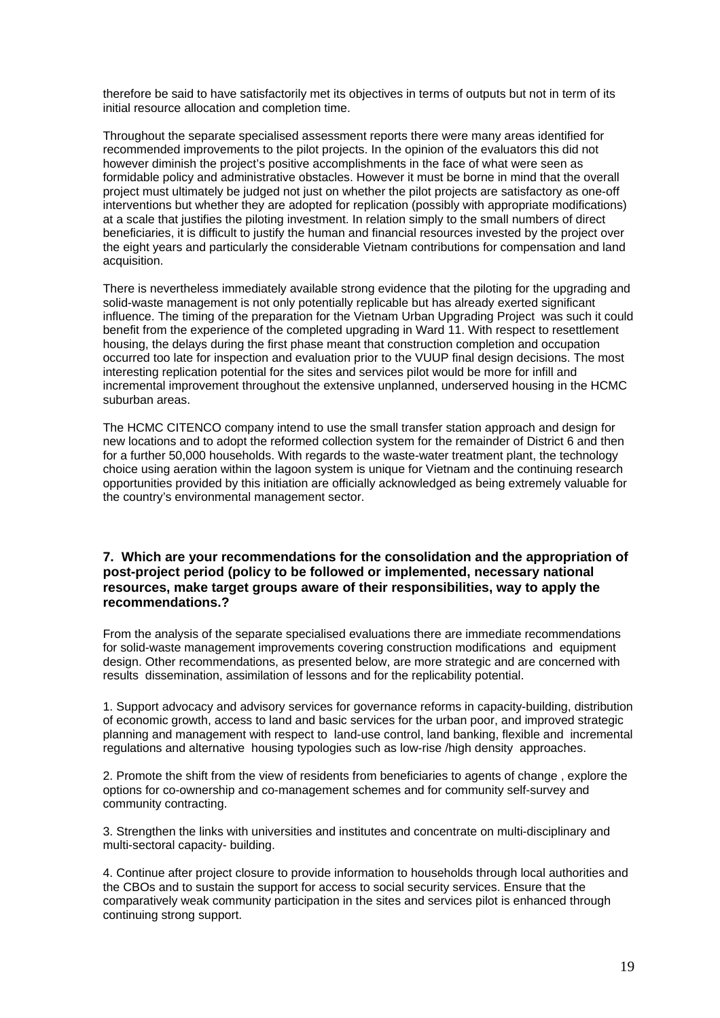therefore be said to have satisfactorily met its objectives in terms of outputs but not in term of its initial resource allocation and completion time.

Throughout the separate specialised assessment reports there were many areas identified for recommended improvements to the pilot projects. In the opinion of the evaluators this did not however diminish the project's positive accomplishments in the face of what were seen as formidable policy and administrative obstacles. However it must be borne in mind that the overall project must ultimately be judged not just on whether the pilot projects are satisfactory as one-off interventions but whether they are adopted for replication (possibly with appropriate modifications) at a scale that justifies the piloting investment. In relation simply to the small numbers of direct beneficiaries, it is difficult to justify the human and financial resources invested by the project over the eight years and particularly the considerable Vietnam contributions for compensation and land acquisition.

There is nevertheless immediately available strong evidence that the piloting for the upgrading and solid-waste management is not only potentially replicable but has already exerted significant influence. The timing of the preparation for the Vietnam Urban Upgrading Project was such it could benefit from the experience of the completed upgrading in Ward 11. With respect to resettlement housing, the delays during the first phase meant that construction completion and occupation occurred too late for inspection and evaluation prior to the VUUP final design decisions. The most interesting replication potential for the sites and services pilot would be more for infill and incremental improvement throughout the extensive unplanned, underserved housing in the HCMC suburban areas.

The HCMC CITENCO company intend to use the small transfer station approach and design for new locations and to adopt the reformed collection system for the remainder of District 6 and then for a further 50,000 households. With regards to the waste-water treatment plant, the technology choice using aeration within the lagoon system is unique for Vietnam and the continuing research opportunities provided by this initiation are officially acknowledged as being extremely valuable for the country's environmental management sector.

#### **7. Which are your recommendations for the consolidation and the appropriation of post-project period (policy to be followed or implemented, necessary national resources, make target groups aware of their responsibilities, way to apply the recommendations.?**

From the analysis of the separate specialised evaluations there are immediate recommendations for solid-waste management improvements covering construction modifications and equipment design. Other recommendations, as presented below, are more strategic and are concerned with results dissemination, assimilation of lessons and for the replicability potential.

1. Support advocacy and advisory services for governance reforms in capacity-building, distribution of economic growth, access to land and basic services for the urban poor, and improved strategic planning and management with respect to land-use control, land banking, flexible and incremental regulations and alternative housing typologies such as low-rise /high density approaches.

2. Promote the shift from the view of residents from beneficiaries to agents of change , explore the options for co-ownership and co-management schemes and for community self-survey and community contracting.

3. Strengthen the links with universities and institutes and concentrate on multi-disciplinary and multi-sectoral capacity- building.

4. Continue after project closure to provide information to households through local authorities and the CBOs and to sustain the support for access to social security services. Ensure that the comparatively weak community participation in the sites and services pilot is enhanced through continuing strong support.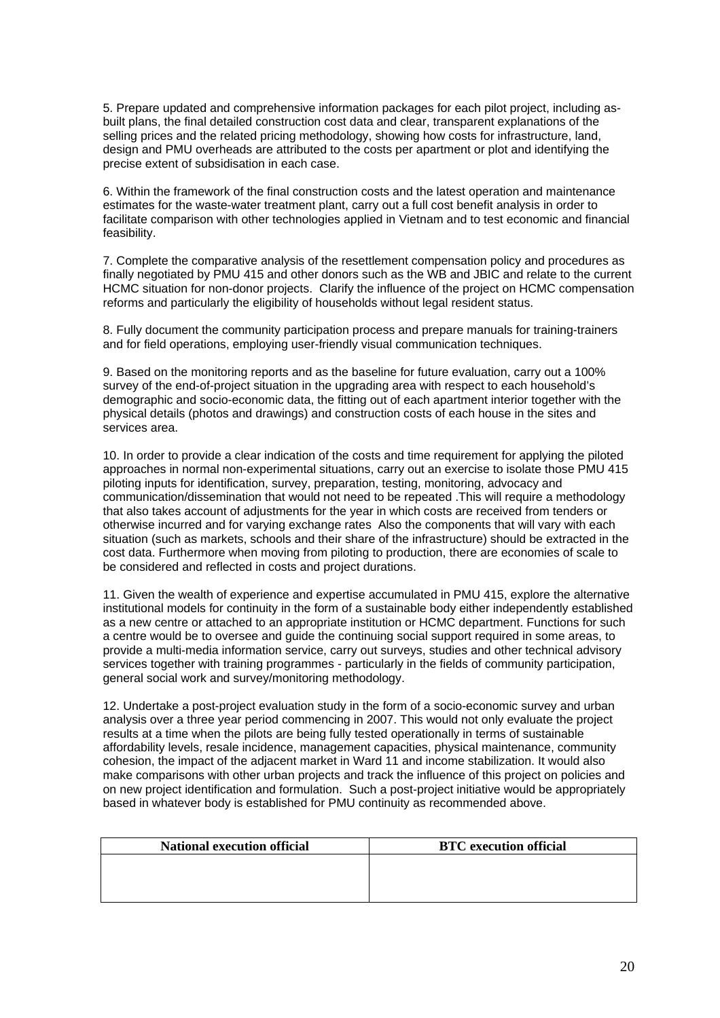5. Prepare updated and comprehensive information packages for each pilot project, including asbuilt plans, the final detailed construction cost data and clear, transparent explanations of the selling prices and the related pricing methodology, showing how costs for infrastructure, land, design and PMU overheads are attributed to the costs per apartment or plot and identifying the precise extent of subsidisation in each case.

6. Within the framework of the final construction costs and the latest operation and maintenance estimates for the waste-water treatment plant, carry out a full cost benefit analysis in order to facilitate comparison with other technologies applied in Vietnam and to test economic and financial feasibility.

7. Complete the comparative analysis of the resettlement compensation policy and procedures as finally negotiated by PMU 415 and other donors such as the WB and JBIC and relate to the current HCMC situation for non-donor projects. Clarify the influence of the project on HCMC compensation reforms and particularly the eligibility of households without legal resident status.

8. Fully document the community participation process and prepare manuals for training-trainers and for field operations, employing user-friendly visual communication techniques.

9. Based on the monitoring reports and as the baseline for future evaluation, carry out a 100% survey of the end-of-project situation in the upgrading area with respect to each household's demographic and socio-economic data, the fitting out of each apartment interior together with the physical details (photos and drawings) and construction costs of each house in the sites and services area.

10. In order to provide a clear indication of the costs and time requirement for applying the piloted approaches in normal non-experimental situations, carry out an exercise to isolate those PMU 415 piloting inputs for identification, survey, preparation, testing, monitoring, advocacy and communication/dissemination that would not need to be repeated .This will require a methodology that also takes account of adjustments for the year in which costs are received from tenders or otherwise incurred and for varying exchange rates Also the components that will vary with each situation (such as markets, schools and their share of the infrastructure) should be extracted in the cost data. Furthermore when moving from piloting to production, there are economies of scale to be considered and reflected in costs and project durations.

11. Given the wealth of experience and expertise accumulated in PMU 415, explore the alternative institutional models for continuity in the form of a sustainable body either independently established as a new centre or attached to an appropriate institution or HCMC department. Functions for such a centre would be to oversee and guide the continuing social support required in some areas, to provide a multi-media information service, carry out surveys, studies and other technical advisory services together with training programmes - particularly in the fields of community participation, general social work and survey/monitoring methodology.

12. Undertake a post-project evaluation study in the form of a socio-economic survey and urban analysis over a three year period commencing in 2007. This would not only evaluate the project results at a time when the pilots are being fully tested operationally in terms of sustainable affordability levels, resale incidence, management capacities, physical maintenance, community cohesion, the impact of the adjacent market in Ward 11 and income stabilization. It would also make comparisons with other urban projects and track the influence of this project on policies and on new project identification and formulation. Such a post-project initiative would be appropriately based in whatever body is established for PMU continuity as recommended above.

| <b>National execution official</b> | <b>BTC</b> execution official |
|------------------------------------|-------------------------------|
|                                    |                               |
|                                    |                               |
|                                    |                               |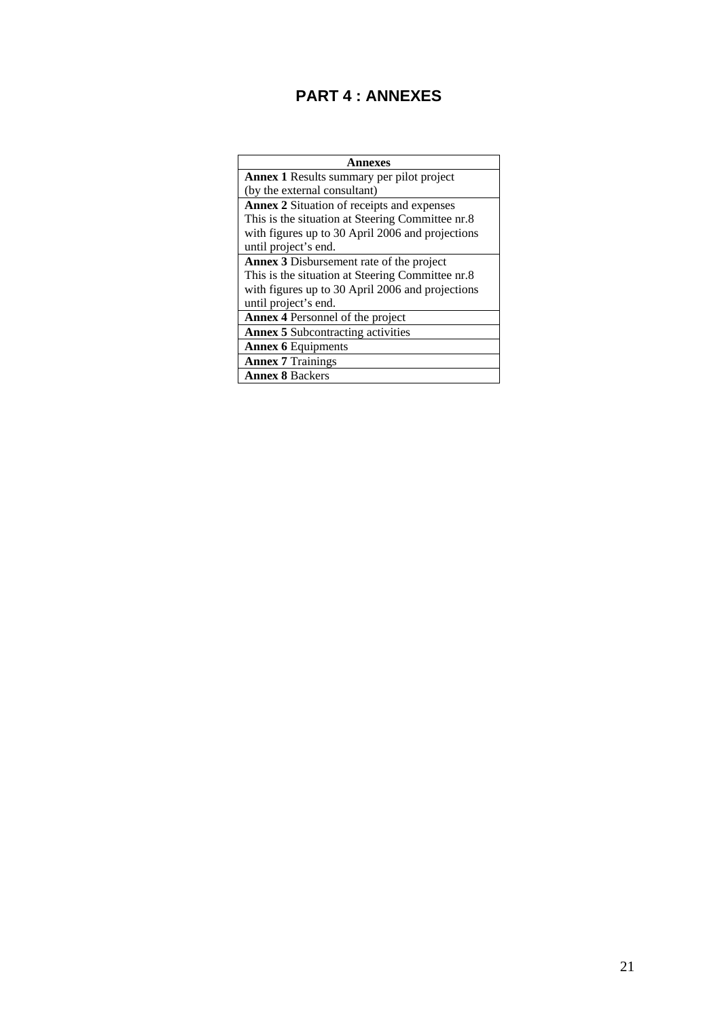# **PART 4 : ANNEXES**

| nnexes                                            |
|---------------------------------------------------|
| <b>Annex 1</b> Results summary per pilot project  |
| (by the external consultant)                      |
| <b>Annex 2 Situation of receipts and expenses</b> |
| This is the situation at Steering Committee nr.8  |
| with figures up to 30 April 2006 and projections  |
| until project's end.                              |
| <b>Annex 3</b> Disbursement rate of the project   |
| This is the situation at Steering Committee nr.8  |
| with figures up to 30 April 2006 and projections  |
| until project's end.                              |
| <b>Annex 4 Personnel of the project</b>           |
| <b>Annex 5</b> Subcontracting activities          |
| <b>Annex 6 Equipments</b>                         |
| <b>Annex 7 Trainings</b>                          |
| <b>Annex 8 Backers</b>                            |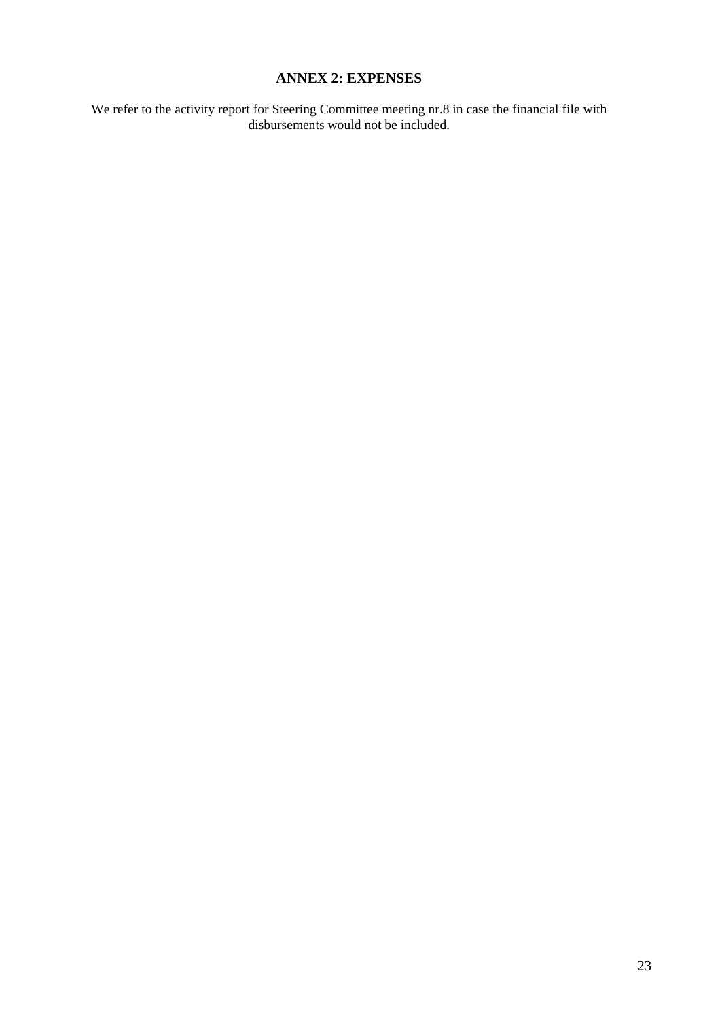### **ANNEX 2: EXPENSES**

We refer to the activity report for Steering Committee meeting nr.8 in case the financial file with disbursements would not be included.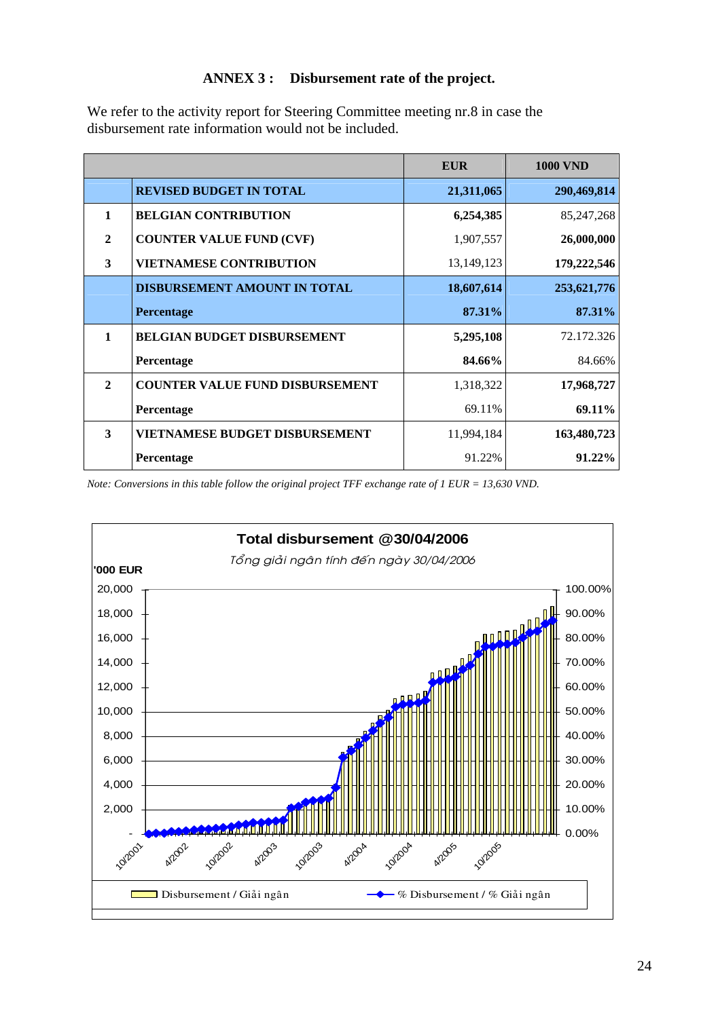### **ANNEX 3 : Disbursement rate of the project.**

We refer to the activity report for Steering Committee meeting nr.8 in case the disbursement rate information would not be included.

|              |                                        | <b>EUR</b> | <b>1000 VND</b> |
|--------------|----------------------------------------|------------|-----------------|
|              | <b>REVISED BUDGET IN TOTAL</b>         | 21,311,065 | 290,469,814     |
| 1            | <b>BELGIAN CONTRIBUTION</b>            | 6,254,385  | 85, 247, 268    |
| $\mathbf{2}$ | <b>COUNTER VALUE FUND (CVF)</b>        | 1,907,557  | 26,000,000      |
| 3            | <b>VIETNAMESE CONTRIBUTION</b>         | 13,149,123 | 179,222,546     |
|              | <b>DISBURSEMENT AMOUNT IN TOTAL</b>    | 18,607,614 | 253,621,776     |
|              | <b>Percentage</b>                      | 87.31%     | 87.31%          |
| $\mathbf{1}$ | <b>BELGIAN BUDGET DISBURSEMENT</b>     | 5,295,108  | 72.172.326      |
|              | Percentage                             | 84.66%     | 84.66%          |
| $\mathbf{2}$ | <b>COUNTER VALUE FUND DISBURSEMENT</b> | 1,318,322  | 17,968,727      |
|              | Percentage                             | 69.11%     | 69.11%          |
| 3            | <b>VIETNAMESE BUDGET DISBURSEMENT</b>  | 11,994,184 | 163,480,723     |
|              | Percentage                             | 91.22%     | $91.22\%$       |

*Note: Conversions in this table follow the original project TFF exchange rate of 1 EUR = 13,630 VND.* 

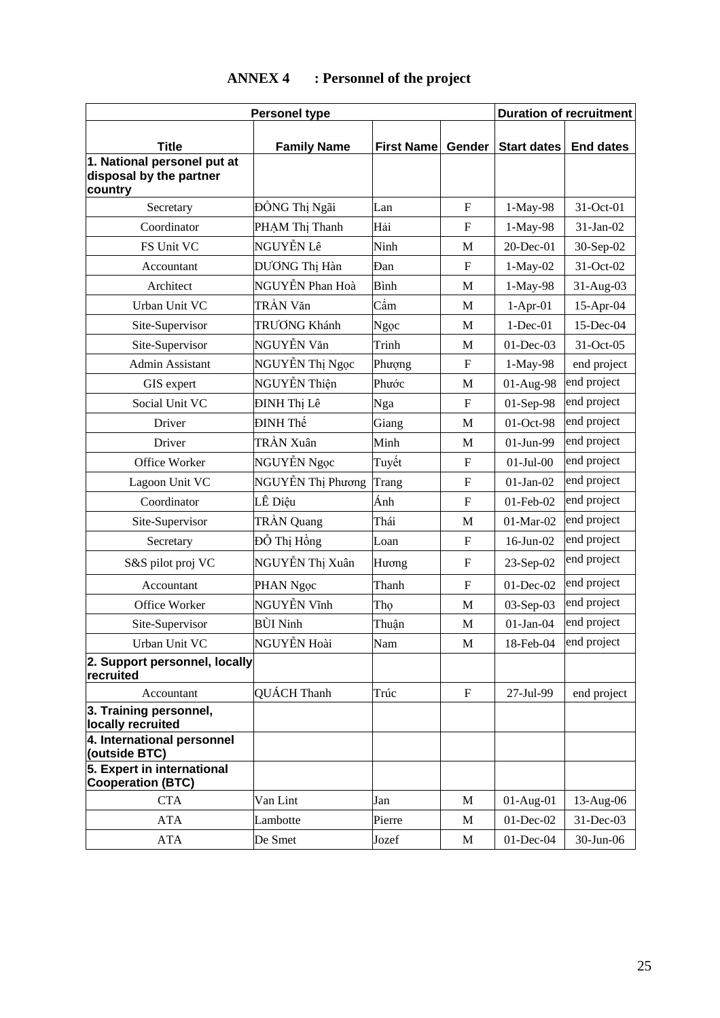|                                                                   | <b>Personel type</b> |                   |                           | <b>Duration of recruitment</b> |                  |
|-------------------------------------------------------------------|----------------------|-------------------|---------------------------|--------------------------------|------------------|
| <b>Title</b>                                                      | <b>Family Name</b>   | <b>First Name</b> | Gender                    | <b>Start dates</b>             | <b>End dates</b> |
| 1. National personel put at<br>disposal by the partner<br>country |                      |                   |                           |                                |                  |
| Secretary                                                         | ĐỒNG Thị Ngãi        | Lan               | $\mathbf F$               | 1-May-98                       | 31-Oct-01        |
| Coordinator                                                       | PHAM Thị Thanh       | Hải               | F                         | 1-May-98                       | 31-Jan-02        |
| FS Unit VC                                                        | NGUYỄN Lê            | Ninh              | M                         | 20-Dec-01                      | 30-Sep-02        |
| Accountant                                                        | DƯƠNG Thị Hàn        | Đan               | $\mathbf F$               | $1-May-02$                     | 31-Oct-02        |
| Architect                                                         | NGUYỄN Phan Hoà      | Bình              | M                         | 1-May-98                       | 31-Aug-03        |
| Urban Unit VC                                                     | TRẦN Văn             | Cầm               | M                         | $1-Apr-01$                     | 15-Apr-04        |
| Site-Supervisor                                                   | TRƯỜNG Khánh         | Ngọc              | M                         | $1-Dec-01$                     | 15-Dec-04        |
| Site-Supervisor                                                   | NGUYỄN Văn           | Trinh             | M                         | 01-Dec-03                      | 31-Oct-05        |
| <b>Admin Assistant</b>                                            | NGUYỄN Thị Ngọc      | Phượng            | $\mathbf F$               | 1-May-98                       | end project      |
| GIS expert                                                        | NGUYỄN Thiện         | Phước             | M                         | 01-Aug-98                      | end project      |
| Social Unit VC                                                    | ĐINH Thị Lê          | Nga               | $\mathbf F$               | 01-Sep-98                      | end project      |
| Driver                                                            | ĐINH Thế             | Giang             | M                         | 01-Oct-98                      | end project      |
| Driver                                                            | TRẦN Xuân            | Minh              | M                         | 01-Jun-99                      | end project      |
| Office Worker                                                     | NGUYỄN Ngọc          | Tuyết             | ${\bf F}$                 | $01-Jul-00$                    | end project      |
| Lagoon Unit VC                                                    | NGUYỄN Thị Phương    | Trang             | $\boldsymbol{\mathrm{F}}$ | $01-Jan-02$                    | end project      |
| Coordinator                                                       | LÊ Diệu              | Ánh               | F                         | 01-Feb-02                      | end project      |
| Site-Supervisor                                                   | TRẦN Quang           | Thái              | M                         | 01-Mar-02                      | end project      |
| Secretary                                                         | Đỗ Thị Hồng          | Loan              | $\mathbf F$               | 16-Jun-02                      | end project      |
| S&S pilot proj VC                                                 | NGUYỄN Thị Xuân      | Hương             | $\mathbf F$               | 23-Sep-02                      | end project      |
| Accountant                                                        | PHAN Ngọc            | Thanh             | $\mathbf F$               | 01-Dec-02                      | end project      |
| Office Worker                                                     | NGUYỄN Vĩnh          | Tho               | M                         | 03-Sep-03                      | end project      |
| Site-Supervisor                                                   | <b>BÙI Ninh</b>      | Thuân             | M                         | $01$ -Jan- $04$                | end project      |
| Urban Unit VC                                                     | NGUYỄN Hoài          | Nam               | $\mathbf M$               | 18-Feb-04                      | end project      |
| 2. Support personnel, locally<br>recruited                        |                      |                   |                           |                                |                  |
| Accountant                                                        | QUÁCH Thanh          | Trúc              | $\mathbf F$               | 27-Jul-99                      | end project      |
| 3. Training personnel,<br>locally recruited                       |                      |                   |                           |                                |                  |
| 4. International personnel<br>(outside BTC)                       |                      |                   |                           |                                |                  |
| 5. Expert in international<br><b>Cooperation (BTC)</b>            |                      |                   |                           |                                |                  |
| <b>CTA</b>                                                        | Van Lint             | Jan               | M                         | $01-Aug-01$                    | 13-Aug-06        |
| <b>ATA</b>                                                        | Lambotte             | Pierre            | M                         | $01$ -Dec-02                   | 31-Dec-03        |
| <b>ATA</b>                                                        | De Smet              | Jozef             | $\mathbf M$               | $01$ -Dec-04                   | 30-Jun-06        |

# **ANNEX 4 : Personnel of the project**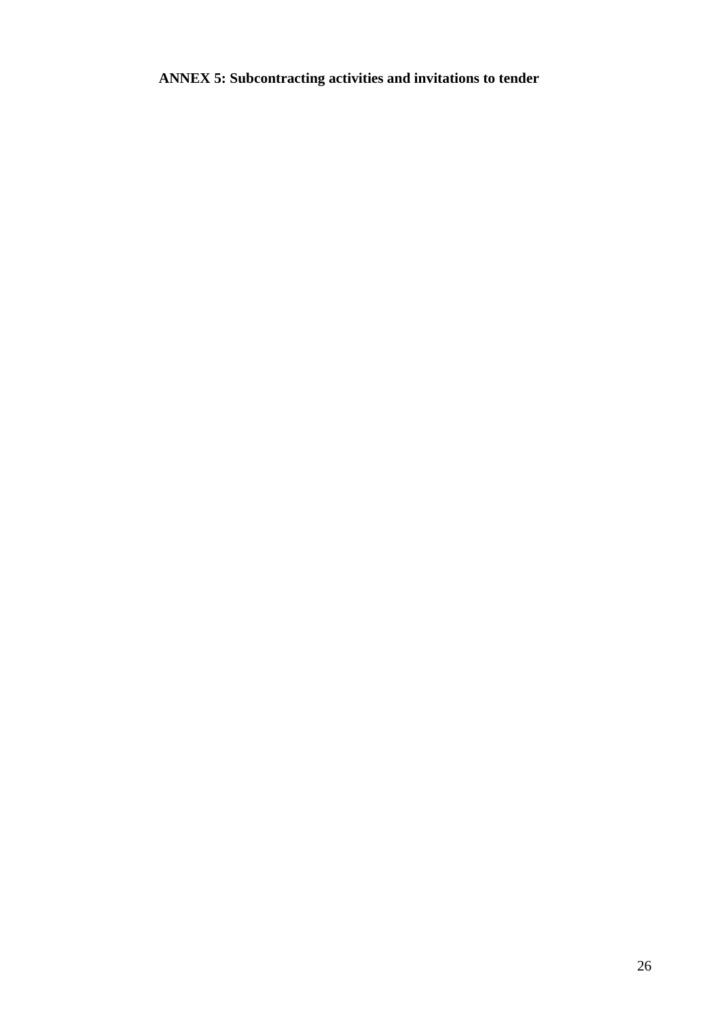**ANNEX 5: Subcontracting activities and invitations to tender**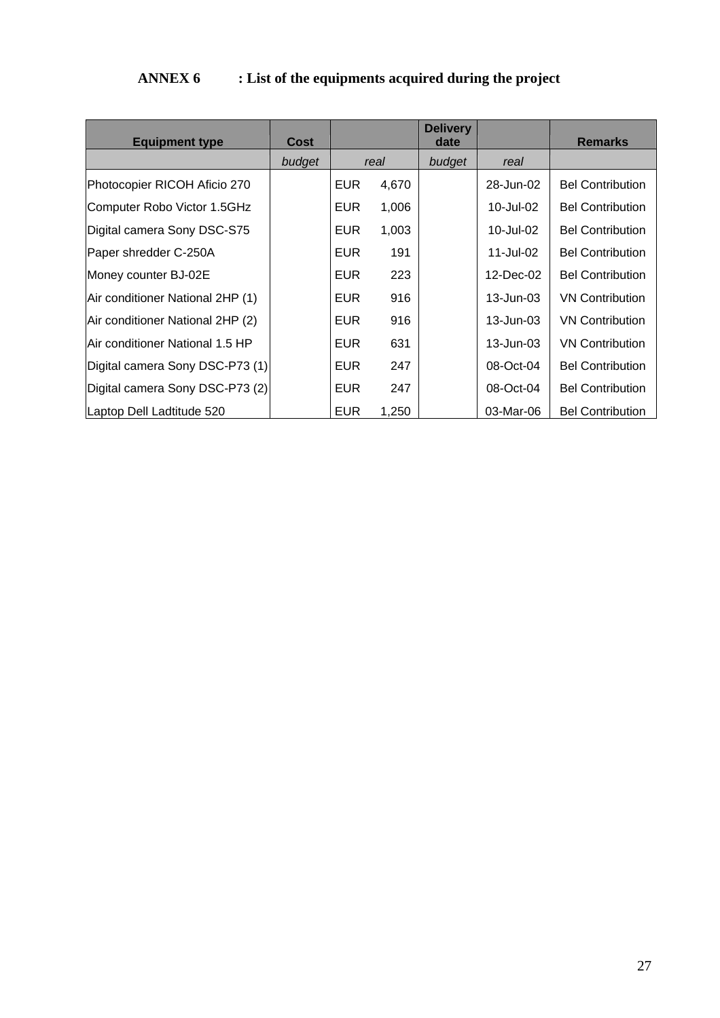# **ANNEX 6 : List of the equipments acquired during the project**

| <b>Equipment type</b>            | Cost   |            |       | <b>Delivery</b><br>date |               | <b>Remarks</b>          |
|----------------------------------|--------|------------|-------|-------------------------|---------------|-------------------------|
|                                  | budget |            | real  | budget                  | real          |                         |
| Photocopier RICOH Aficio 270     |        | <b>EUR</b> | 4,670 |                         | 28-Jun-02     | <b>Bel Contribution</b> |
| Computer Robo Victor 1.5GHz      |        | EUR.       | 1,006 |                         | 10-Jul-02     | <b>Bel Contribution</b> |
| Digital camera Sony DSC-S75      |        | EUR.       | 1,003 |                         | 10-Jul-02     | <b>Bel Contribution</b> |
| Paper shredder C-250A            |        | <b>EUR</b> | 191   |                         | 11-Jul-02     | <b>Bel Contribution</b> |
| Money counter BJ-02E             |        | <b>EUR</b> | 223   |                         | 12-Dec-02     | <b>Bel Contribution</b> |
| Air conditioner National 2HP (1) |        | <b>EUR</b> | 916   |                         | $13 - Jun-03$ | <b>VN Contribution</b>  |
| Air conditioner National 2HP (2) |        | <b>EUR</b> | 916   |                         | $13 - Jun-03$ | <b>VN Contribution</b>  |
| lAir conditioner National 1.5 HP |        | <b>EUR</b> | 631   |                         | 13-Jun-03     | <b>VN Contribution</b>  |
| Digital camera Sony DSC-P73 (1)  |        | <b>EUR</b> | 247   |                         | 08-Oct-04     | <b>Bel Contribution</b> |
| Digital camera Sony DSC-P73 (2)  |        | <b>EUR</b> | 247   |                         | 08-Oct-04     | <b>Bel Contribution</b> |
| Laptop Dell Ladtitude 520        |        | <b>EUR</b> | 1,250 |                         | 03-Mar-06     | <b>Bel Contribution</b> |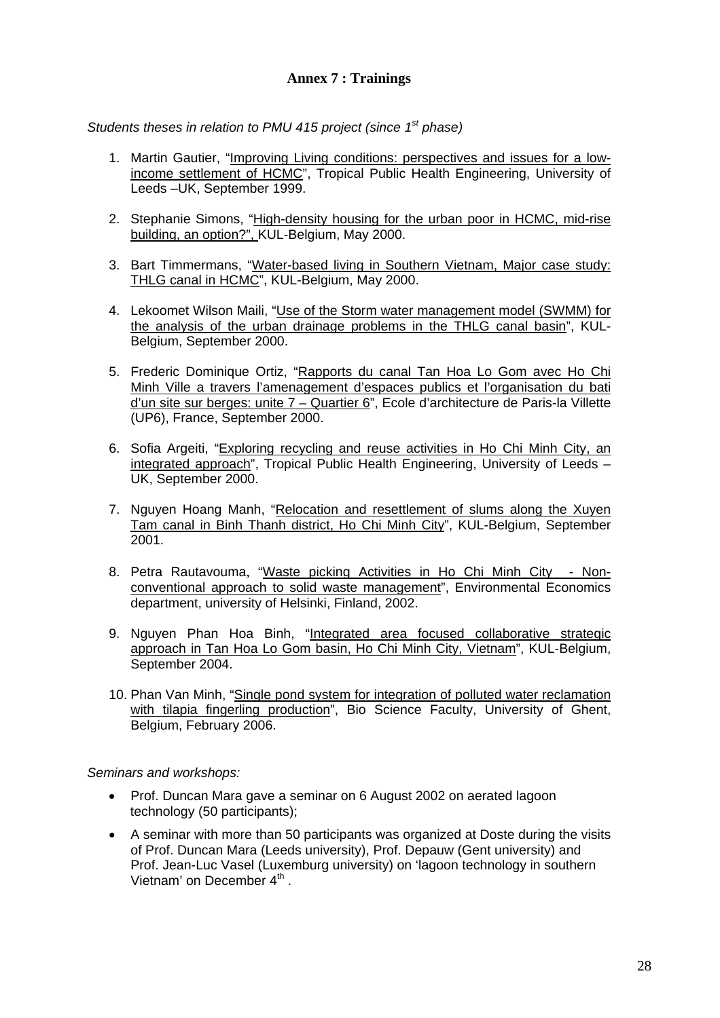### **Annex 7 : Trainings**

*Students theses in relation to PMU 415 project (since 1st phase)* 

- 1. Martin Gautier, "Improving Living conditions: perspectives and issues for a lowincome settlement of HCMC", Tropical Public Health Engineering, University of Leeds –UK, September 1999.
- 2. Stephanie Simons, "High-density housing for the urban poor in HCMC, mid-rise building, an option?", KUL-Belgium, May 2000.
- 3. Bart Timmermans, "Water-based living in Southern Vietnam, Major case study: THLG canal in HCMC", KUL-Belgium, May 2000.
- 4. Lekoomet Wilson Maili, "Use of the Storm water management model (SWMM) for the analysis of the urban drainage problems in the THLG canal basin", KUL-Belgium, September 2000.
- 5. Frederic Dominique Ortiz, "Rapports du canal Tan Hoa Lo Gom avec Ho Chi Minh Ville a travers l'amenagement d'espaces publics et l'organisation du bati d'un site sur berges: unite 7 – Quartier 6", Ecole d'architecture de Paris-la Villette (UP6), France, September 2000.
- 6. Sofia Argeiti, "Exploring recycling and reuse activities in Ho Chi Minh City, an integrated approach", Tropical Public Health Engineering, University of Leeds – UK, September 2000.
- 7. Nguyen Hoang Manh, "Relocation and resettlement of slums along the Xuyen Tam canal in Binh Thanh district, Ho Chi Minh City", KUL-Belgium, September 2001.
- 8. Petra Rautavouma, "Waste picking Activities in Ho Chi Minh City Nonconventional approach to solid waste management", Environmental Economics department, university of Helsinki, Finland, 2002.
- 9. Nguyen Phan Hoa Binh, "Integrated area focused collaborative strategic approach in Tan Hoa Lo Gom basin, Ho Chi Minh City, Vietnam", KUL-Belgium, September 2004.
- 10. Phan Van Minh, "Single pond system for integration of polluted water reclamation with tilapia fingerling production", Bio Science Faculty, University of Ghent, Belgium, February 2006.

*Seminars and workshops:* 

- Prof. Duncan Mara gave a seminar on 6 August 2002 on aerated lagoon technology (50 participants);
- A seminar with more than 50 participants was organized at Doste during the visits of Prof. Duncan Mara (Leeds university), Prof. Depauw (Gent university) and Prof. Jean-Luc Vasel (Luxemburg university) on 'lagoon technology in southern Vietnam' on December 4<sup>th</sup>.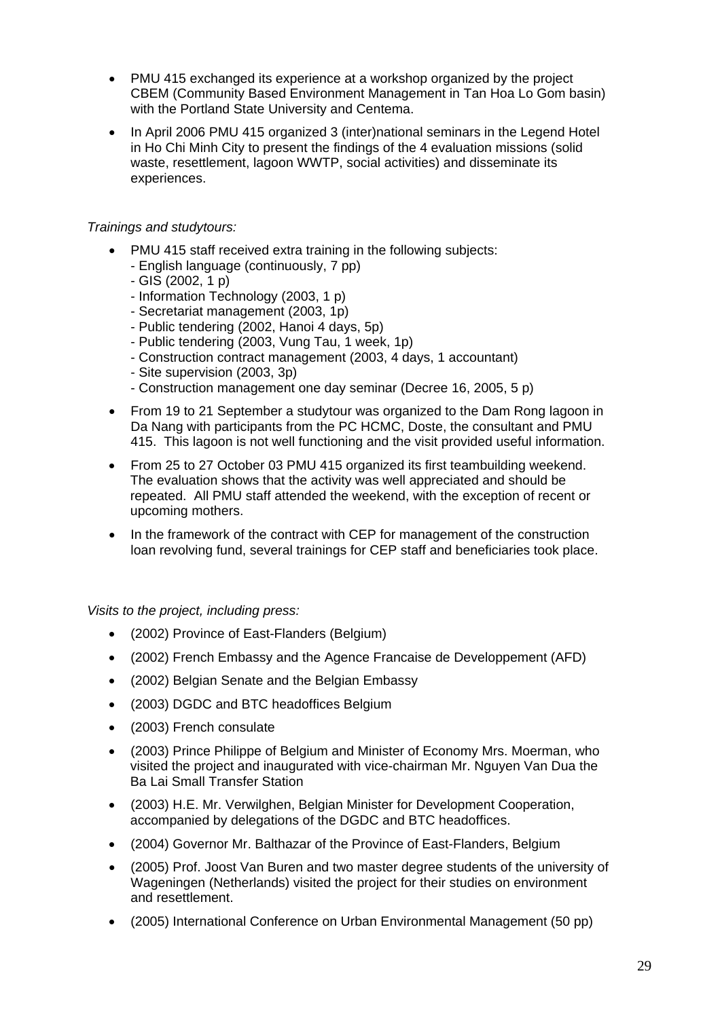- PMU 415 exchanged its experience at a workshop organized by the project CBEM (Community Based Environment Management in Tan Hoa Lo Gom basin) with the Portland State University and Centema.
- In April 2006 PMU 415 organized 3 (inter)national seminars in the Legend Hotel in Ho Chi Minh City to present the findings of the 4 evaluation missions (solid waste, resettlement, lagoon WWTP, social activities) and disseminate its experiences.

### *Trainings and studytours:*

- PMU 415 staff received extra training in the following subjects:
	- English language (continuously, 7 pp)
	- GIS (2002, 1 p)
	- Information Technology (2003, 1 p)
	- Secretariat management (2003, 1p)
	- Public tendering (2002, Hanoi 4 days, 5p)
	- Public tendering (2003, Vung Tau, 1 week, 1p)
	- Construction contract management (2003, 4 days, 1 accountant)
	- Site supervision (2003, 3p)
	- Construction management one day seminar (Decree 16, 2005, 5 p)
- From 19 to 21 September a studytour was organized to the Dam Rong lagoon in Da Nang with participants from the PC HCMC, Doste, the consultant and PMU 415. This lagoon is not well functioning and the visit provided useful information.
- From 25 to 27 October 03 PMU 415 organized its first teambuilding weekend. The evaluation shows that the activity was well appreciated and should be repeated. All PMU staff attended the weekend, with the exception of recent or upcoming mothers.
- In the framework of the contract with CEP for management of the construction loan revolving fund, several trainings for CEP staff and beneficiaries took place.

*Visits to the project, including press:*

- (2002) Province of East-Flanders (Belgium)
- (2002) French Embassy and the Agence Francaise de Developpement (AFD)
- (2002) Belgian Senate and the Belgian Embassy
- (2003) DGDC and BTC headoffices Belgium
- (2003) French consulate
- (2003) Prince Philippe of Belgium and Minister of Economy Mrs. Moerman, who visited the project and inaugurated with vice-chairman Mr. Nguyen Van Dua the Ba Lai Small Transfer Station
- (2003) H.E. Mr. Verwilghen, Belgian Minister for Development Cooperation, accompanied by delegations of the DGDC and BTC headoffices.
- (2004) Governor Mr. Balthazar of the Province of East-Flanders, Belgium
- (2005) Prof. Joost Van Buren and two master degree students of the university of Wageningen (Netherlands) visited the project for their studies on environment and resettlement.
- (2005) International Conference on Urban Environmental Management (50 pp)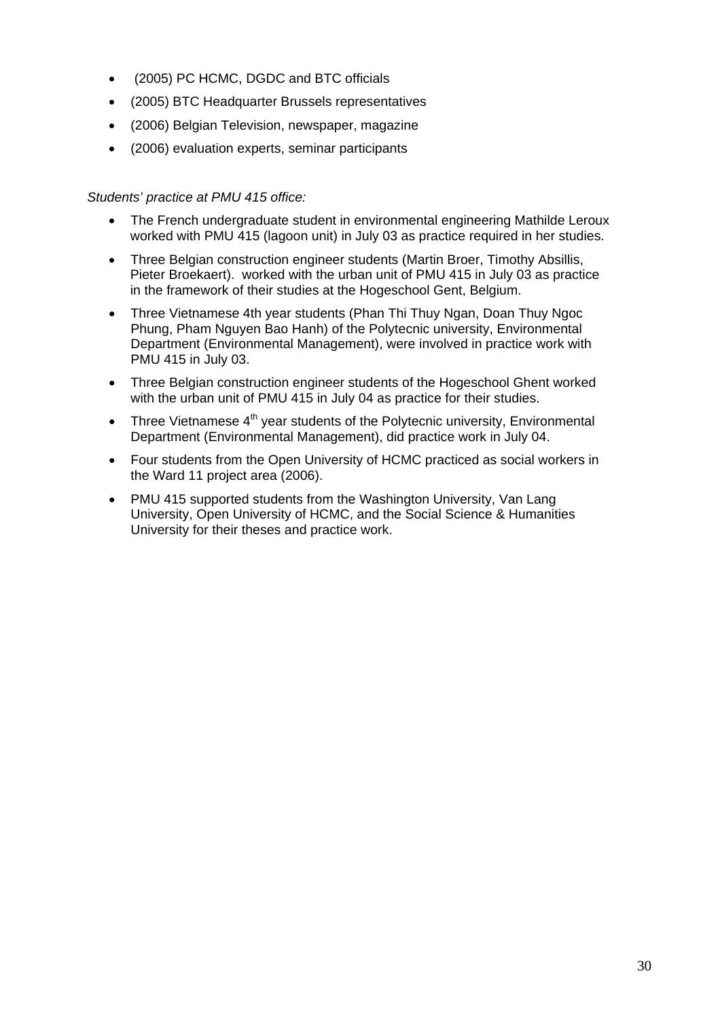- (2005) PC HCMC, DGDC and BTC officials
- (2005) BTC Headquarter Brussels representatives
- (2006) Belgian Television, newspaper, magazine
- (2006) evaluation experts, seminar participants

#### *Students' practice at PMU 415 office:*

- The French undergraduate student in environmental engineering Mathilde Leroux worked with PMU 415 (lagoon unit) in July 03 as practice required in her studies.
- Three Belgian construction engineer students (Martin Broer, Timothy Absillis, Pieter Broekaert). worked with the urban unit of PMU 415 in July 03 as practice in the framework of their studies at the Hogeschool Gent, Belgium.
- Three Vietnamese 4th year students (Phan Thi Thuy Ngan, Doan Thuy Ngoc Phung, Pham Nguyen Bao Hanh) of the Polytecnic university, Environmental Department (Environmental Management), were involved in practice work with PMU 415 in July 03.
- Three Belgian construction engineer students of the Hogeschool Ghent worked with the urban unit of PMU 415 in July 04 as practice for their studies.
- Three Vietnamese  $4<sup>th</sup>$  year students of the Polytecnic university, Environmental Department (Environmental Management), did practice work in July 04.
- Four students from the Open University of HCMC practiced as social workers in the Ward 11 project area (2006).
- PMU 415 supported students from the Washington University, Van Lang University, Open University of HCMC, and the Social Science & Humanities University for their theses and practice work.